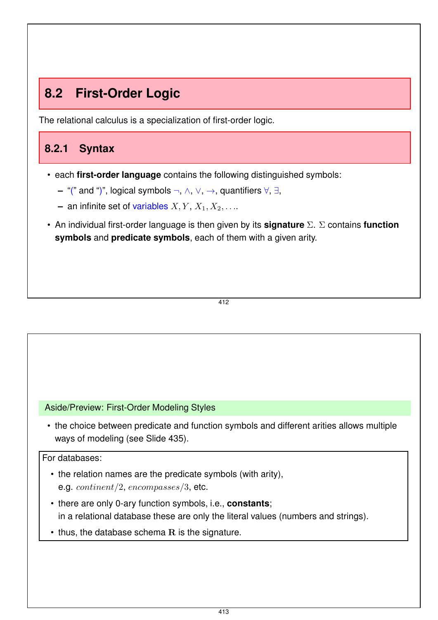# **8.2 First-Order Logic**

The relational calculus is a specialization of first-order logic.

## **8.2.1 Syntax**

- each **first-order language** contains the following distinguished symbols:
	- **–** "(" and ")", logical symbols ¬, ∧, ∨, →, quantifiers ∀, ∃,
	- **–** an infinite set of variables  $X, Y, X_1, X_2, \ldots$
- An individual first-order language is then given by its **signature** Σ. Σ contains **function symbols** and **predicate symbols**, each of them with a given arity.

412

#### Aside/Preview: First-Order Modeling Styles

• the choice between predicate and function symbols and different arities allows multiple ways of modeling (see Slide 435).

#### For databases:

- the relation names are the predicate symbols (with arity), e.g. continent/2, encompasses/3, etc.
- there are only 0-ary function symbols, i.e., **constants**; in a relational database these are only the literal values (numbers and strings).
- $\cdot$  thus, the database schema  $R$  is the signature.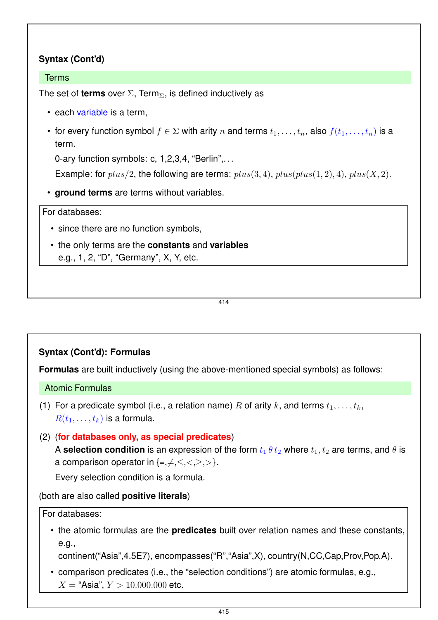## **Syntax (Cont'd)**

#### Terms

The set of **terms** over  $\Sigma$ , Term<sub> $\Sigma$ </sub>, is defined inductively as

- each variable is a term,
- for every function symbol  $f \in \Sigma$  with arity n and terms  $t_1, \ldots, t_n$ , also  $f(t_1, \ldots, t_n)$  is a term.

0-ary function symbols: c, 1,2,3,4, "Berlin",...

Example: for  $plus/2$ , the following are terms:  $plus(3, 4)$ ,  $plus(plus(1, 2), 4)$ ,  $plus(X, 2)$ .

• **ground terms** are terms without variables.

#### For databases:

- since there are no function symbols,
- the only terms are the **constants** and **variables** e.g., 1, 2, "D", "Germany", X, Y, etc.

414

## **Syntax (Cont'd): Formulas**

**Formulas** are built inductively (using the above-mentioned special symbols) as follows:

#### Atomic Formulas

- (1) For a predicate symbol (i.e., a relation name) R of arity k, and terms  $t_1, \ldots, t_k$ ,  $R(t_1,\ldots,t_k)$  is a formula.
- (2) (**for databases only, as special predicates**) A **selection condition** is an expression of the form  $t_1$   $\theta$   $t_2$  where  $t_1$ ,  $t_2$  are terms, and  $\theta$  is a comparison operator in  $\{=,\neq,<,>,\}$ .

Every selection condition is a formula.

(both are also called **positive literals**)

For databases:

• the atomic formulas are the **predicates** built over relation names and these constants, e.g.,

continent("Asia",4.5E7), encompasses("R","Asia",X), country(N,CC,Cap,Prov,Pop,A).

• comparison predicates (i.e., the "selection conditions") are atomic formulas, e.g.,  $X =$  "Asia",  $Y > 10.000.000$  etc.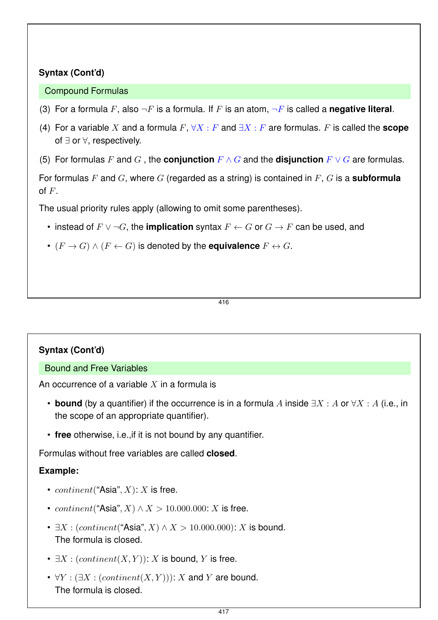## **Syntax (Cont'd)**

#### Compound Formulas

- (3) For a formula F, also  $\neg F$  is a formula. If F is an atom,  $\neg F$  is called a **negative literal**.
- (4) For a variable X and a formula  $F$ ,  $\forall X : F$  and  $\exists X : F$  are formulas. F is called the **scope** of ∃ or ∀, respectively.
- (5) For formulas F and G, the **conjunction**  $F \wedge G$  and the **disjunction**  $F \vee G$  are formulas.

For formulas F and G, where G (regarded as a string) is contained in F, G is a **subformula** of  $F$ .

The usual priority rules apply (allowing to omit some parentheses).

- instead of  $F \vee \neg G$ , the **implication** syntax  $F \leftarrow G$  or  $G \rightarrow F$  can be used, and
- $(F \to G) \land (F \leftarrow G)$  is denoted by the **equivalence**  $F \leftrightarrow G$ .

#### 416

## **Syntax (Cont'd)**

#### Bound and Free Variables

An occurrence of a variable  $X$  in a formula is

- **bound** (by a quantifier) if the occurrence is in a formula A inside  $\exists X : A$  or  $\forall X : A$  (i.e., in the scope of an appropriate quantifier).
- **free** otherwise, i.e.,if it is not bound by any quantifier.

Formulas without free variables are called **closed**.

## **Example:**

- *continent* ("Asia",  $X$ ):  $X$  is free.
- continent("Asia",  $X$ )  $\wedge$   $X$  > 10.000.000:  $X$  is free.
- $\exists X : (content("Asia", X) \land X > 10.000.000): X$  is bound. The formula is closed.
- $\exists X : (content(X, Y))$ : X is bound, Y is free.
- $\forall Y : (\exists X : (content(X, Y))) : X$  and Y are bound. The formula is closed.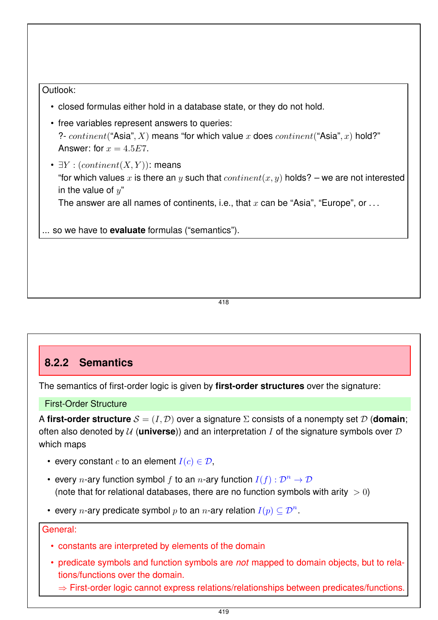#### Outlook:

- closed formulas either hold in a database state, or they do not hold.
- free variables represent answers to queries: ?-  $content("Asia", X)$  means "for which value x does  $content("Asia", x)$  hold?" Answer: for  $x = 4.5E7$ .
- $\exists Y : (content(X, Y))$ : means "for which values x is there an y such that  $content(x, y)$  holds? – we are not interested in the value of  $u^"$ The answer are all names of continents, i.e., that  $x$  can be "Asia", "Europe", or ...

... so we have to **evaluate** formulas ("semantics").

418

## **8.2.2 Semantics**

The semantics of first-order logic is given by **first-order structures** over the signature:

First-Order Structure

A **first-order structure**  $\mathcal{S} = (I, \mathcal{D})$  over a signature  $\Sigma$  consists of a nonempty set  $\mathcal{D}$  (**domain**; often also denoted by  $U$  (**universe**)) and an interpretation I of the signature symbols over  $D$ which maps

- every constant c to an element  $I(c) \in \mathcal{D}$ ,
- every  $n$ -ary function symbol  $f$  to an  $n$ -ary function  $I(f): \mathcal{D}^n \rightarrow \mathcal{D}$ (note that for relational databases, there are no function symbols with arity  $> 0$ )
- every  $n$ -ary predicate symbol  $p$  to an  $n$ -ary relation  $I(p)\subseteq \mathcal{D}^n.$

#### General:

- constants are interpreted by elements of the domain
- predicate symbols and function symbols are *not* mapped to domain objects, but to relations/functions over the domain.
	- $\Rightarrow$  First-order logic cannot express relations/relationships between predicates/functions.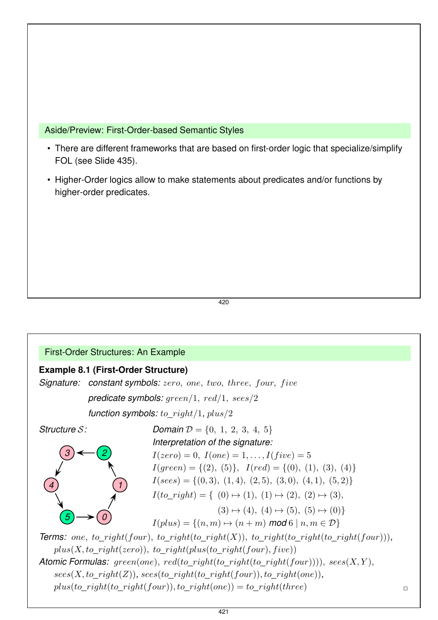Aside/Preview: First-Order-based Semantic Styles

- There are different frameworks that are based on first-order logic that specialize/simplify FOL (see Slide 435).
- Higher-Order logics allow to make statements about predicates and/or functions by higher-order predicates.

420

#### First-Order Structures: An Example

#### **Example 8.1 (First-Order Structure)**

**Signature:** constant symbols: zero, one, two, three, four, five *predicate symbols:* green/1, red/1, sees/2 *function symbols:* to*\_*right/1*,* plus/2 *Structure* S*: 1 3*) ←  $(2)$ *4*  $(6) \rightarrow (0)$ *Domain*  $\mathcal{D} = \{0, 1, 2, 3, 4, 5\}$ *Interpretation of the signature:*  $I(zero) = 0, I(one) = 1, ..., I(five) = 5$  $I(green) = \{(2), (5)\}, I(red) = \{(0), (1), (3), (4)\}$  $I(sees) = \{(0,3), (1,4), (2,5), (3,0), (4,1), (5,2)\}\$  $I(to\ right) = \{ (0) \mapsto (1), (1) \mapsto (2), (2) \mapsto (3),$  $(3) \mapsto (4), (4) \mapsto (5), (5) \mapsto (0)$  $I(plus) = \{(n, m) \mapsto (n + m) \text{ mod } 6 \mid n, m \in \mathcal{D}\}\$ **Terms:** one, to right(four), to right(to right(X)), to right(to right(to right(four))),  $plus(X, to\ right(zero))$ , to  $right(plus(to\ right(four), five))$ *Atomic Formulas:* green(one), red(to*\_*right(to*\_*right(to*\_*right(four)))), sees(X, Y ),  $sees(X, to\_right(Z))$ *,*  $sees(to\_right(to\_right(four))$ *, to\_right(one)),*  $plus(to\_right(to\_right(four)), to\_right(one)) = to\_right(three)$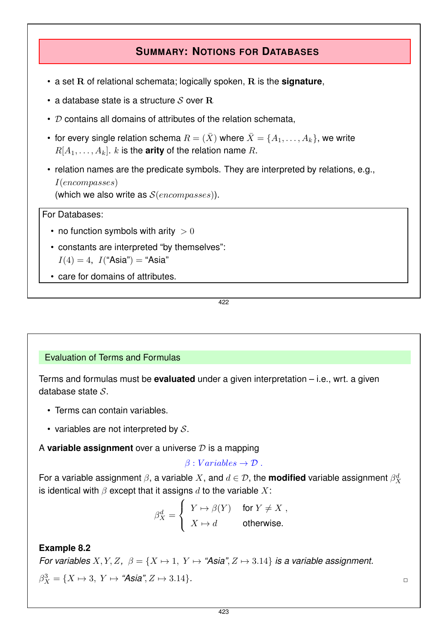## **SUMMARY: NOTIONS FOR DATABASES**

- a set R of relational schemata; logically spoken, R is the **signature**,
- a database state is a structure  $S$  over  $R$
- $\cdot$   $\mathcal D$  contains all domains of attributes of the relation schemata,
- for every single relation schema  $R = (\bar{X})$  where  $\bar{X} = \{A_1, \ldots, A_k\}$ , we write  $R[A_1, \ldots, A_k]$ . k is the **arity** of the relation name R.
- relation names are the predicate symbols. They are interpreted by relations, e.g., I(encompasses) (which we also write as  $S(encompasses)$ ).

#### For Databases:

- no function symbols with arity  $> 0$
- constants are interpreted "by themselves":  $I(4) = 4$ ,  $I("Asia") = "Asia"$
- care for domains of attributes.

422

#### Evaluation of Terms and Formulas

Terms and formulas must be **evaluated** under a given interpretation – i.e., wrt. a given database state S.

- Terms can contain variables.
- variables are not interpreted by  $S$ .

A **variable assignment** over a universe D is a mapping

 $\beta: Variables\to\mathcal{D}$ .

For a variable assignment  $\beta$ , a variable  $X$ , and  $d\in\mathcal{D},$  the **modified** variable assignment  $\beta^d_X$ is identical with  $\beta$  except that it assigns d to the variable X:

$$
\beta^d_X = \left\{ \begin{array}{ll} Y \mapsto \beta(Y) & \text{ for } Y \neq X \; , \\ X \mapsto d & \text{ otherwise.} \end{array} \right.
$$

#### **Example 8.2**

*For variables*  $X, Y, Z, \ \beta = \{X \mapsto 1, Y \mapsto \text{``Asia''}, Z \mapsto 3.14\}$  *is a variable assignment.*  $\beta_X^3 = \{X \mapsto 3, Y \mapsto \text{``Asia''}, Z \mapsto 3.14\}.$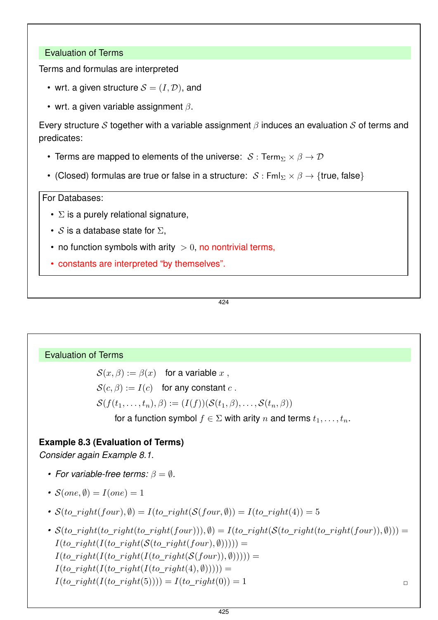#### Evaluation of Terms

Terms and formulas are interpreted

- wrt. a given structure  $\mathcal{S} = (I, \mathcal{D})$ , and
- wrt. a given variable assignment  $\beta$ .

Every structure S together with a variable assignment  $\beta$  induces an evaluation S of terms and predicates:

- Terms are mapped to elements of the universe:  $S: \text{Term}_{\Sigma} \times \beta \rightarrow \mathcal{D}$
- (Closed) formulas are true or false in a structure:  $S : \mathsf{Fml}_{\Sigma} \times \beta \rightarrow \{\mathsf{true}, \mathsf{false}\}\$

For Databases:

- $\cdot$   $\Sigma$  is a purely relational signature,
- S is a database state for  $\Sigma$ .
- no function symbols with arity  $> 0$ , no nontrivial terms,
- constants are interpreted "by themselves".

424

#### Evaluation of Terms

 $\mathcal{S}(x,\beta) := \beta(x)$  for a variable x,  $\mathcal{S}(c, \beta) := I(c)$  for any constant c.  $\mathcal{S}(f(t_1,\ldots,t_n),\beta) := (I(f))(\mathcal{S}(t_1,\beta),\ldots,\mathcal{S}(t_n,\beta))$ for a function symbol  $f \in \Sigma$  with arity n and terms  $t_1, \ldots, t_n$ .

## **Example 8.3 (Evaluation of Terms)**

*Consider again Example 8.1.*

- *For variable-free terms:*  $\beta = \emptyset$ .
- $S(one, \emptyset) = I(one) = 1$
- $S(to\ right(four), \emptyset) = I(to\ right(S(four, \emptyset)) = I(to\ right(4)) = 5$
- $S(to\ right(to\ right(to\ right(four))),$   $\emptyset$ ) =  $I(to\ right(S(to\ right(four)), \emptyset))$  =  $I(to\ right(I(to\ right(S(to\ right(four), \emptyset))))$ ) =  $I(to\_right(I(to\_right(I(to\_right(S(four)), \emptyset))))$  =  $I(to\ right(I(to\ right(I(to\ right(4), \emptyset))))$  $I(to\_right(I(to\_right(5)))) = I(to\_right(0)) = 1$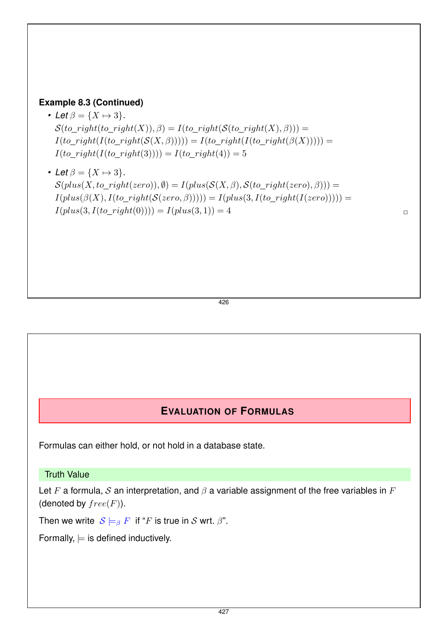#### **Example 8.3 (Continued)**

- Let  $\beta = \{X \mapsto 3\}$ *.*  $S(to\_right(to\_right(X)), \beta) = I(to\_right(S(to\_right(X), \beta)) =$  $I(to\_right(I(to\_right(S(X, \beta)))) = I(to\_right(I(to\_right(\beta(X))))))$  $I(to\_right(I(to\_right(3)))) = I(to\_right(4)) = 5$
- Let  $\beta = \{X \mapsto 3\}$ .  $\mathcal{S}(plus(X, to\_right(zero)), \emptyset) = I(plus(\mathcal{S}(X, \beta), \mathcal{S}(to\_right(zero), \beta))) =$  $I(plus(\beta(X), I(to\_right(S(zero, \beta)))) = I(plus(3, I(to\_right(I(zero)))))) =$  $I(plus(3, I(to\_right(0)))) = I(plus(3, 1)) = 4$

426

## **EVALUATION OF FORMULAS**

Formulas can either hold, or not hold in a database state.

Truth Value

Let F a formula, S an interpretation, and  $\beta$  a variable assignment of the free variables in F (denoted by  $free(F)$ ).

Then we write  $S \models_{\beta} F$  if "F is true in S wrt.  $\beta$ ".

Formally,  $\models$  is defined inductively.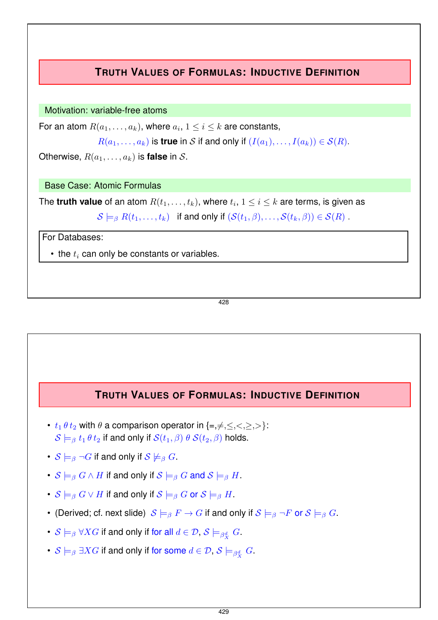## **TRUTH VALUES OF FORMULAS: INDUCTIVE DEFINITION**

Motivation: variable-free atoms

For an atom  $R(a_1, \ldots, a_k)$ , where  $a_i, 1 \leq i \leq k$  are constants,

```
R(a_1, \ldots, a_k) is true in S if and only if (I(a_1), \ldots, I(a_k)) \in S(R).
```
Otherwise,  $R(a_1, \ldots, a_k)$  is **false** in S.

Base Case: Atomic Formulas

The **truth value** of an atom  $R(t_1, \ldots, t_k)$ , where  $t_i, 1 \leq i \leq k$  are terms, is given as

 $S \models_{\beta} R(t_1,\ldots,t_k)$  if and only if  $(S(t_1,\beta),\ldots,S(t_k,\beta)) \in S(R)$ .

For Databases:

 $\bullet$  the  $t_i$  can only be constants or variables.

428

## **TRUTH VALUES OF FORMULAS: INDUCTIVE DEFINITION**

- $t_1 \theta t_2$  with  $\theta$  a comparison operator in  $\{\equiv, \neq, \leq, \leq, \geq, \geq\}$ :  $S \models_{\beta} t_1 \theta t_2$  if and only if  $S(t_1, \beta) \theta S(t_2, \beta)$  holds.
- $S \models_{\beta} \neg G$  if and only if  $S \not\models_{\beta} G$ .
- $S \models_\beta G \wedge H$  if and only if  $S \models_\beta G$  and  $S \models_\beta H$ .
- $S \models_\beta G \vee H$  if and only if  $S \models_\beta G$  or  $S \models_\beta H$ .
- (Derived; cf. next slide)  $S \models_\beta F \rightarrow G$  if and only if  $S \models_\beta \neg F$  or  $S \models_\beta G$ .
- $\mathcal{S} \models_{\beta} \forall X G$  if and only if for all  $d \in \mathcal{D}, \, \mathcal{S} \models_{\beta^d_X} G.$
- $\mathcal{S} \models_{\beta} \exists X G$  if and only if for some  $d \in \mathcal{D}, \, \mathcal{S} \models_{\beta^d_X} G.$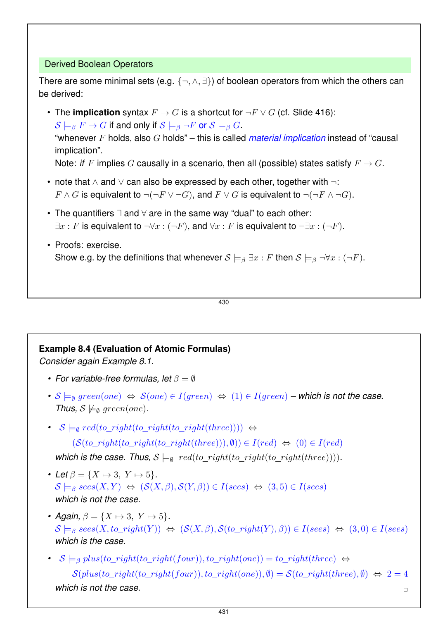#### Derived Boolean Operators

There are some minimal sets (e.g.  $\{\neg, \land, \exists\}$ ) of boolean operators from which the others can be derived:

• The **implication** syntax  $F \to G$  is a shortcut for  $\neg F \lor G$  (cf. Slide 416):  $S \models_B F \to G$  if and only if  $S \models_B \neg F$  or  $S \models_B G$ . "whenever F holds, also G holds" – this is called *material implication* instead of "causal implication".

Note: *if* F implies G causally in a scenario, then all (possible) states satisfy  $F \to G$ .

- note that ∧ and ∨ can also be expressed by each other, together with ¬:  $F \wedge G$  is equivalent to  $\neg(\neg F \vee \neg G)$ , and  $F \vee G$  is equivalent to  $\neg(\neg F \wedge \neg G)$ .
- The quantifiers ∃ and ∀ are in the same way "dual" to each other:  $\exists x : F$  is equivalent to  $\neg \forall x : (\neg F)$ , and  $\forall x : F$  is equivalent to  $\neg \exists x : (\neg F)$ .
- Proofs: exercise. Show e.g. by the definitions that whenever  $S \models_{\beta} \exists x : F$  then  $S \models_{\beta} \neg \forall x : (\neg F)$ .

430

#### **Example 8.4 (Evaluation of Atomic Formulas)**

*Consider again Example 8.1.*

- *For variable-free formulas, let* β = ∅
- $S \models_{\emptyset} {\text{green}(one)} \Leftrightarrow S(\text{one}) \in I(\text{green}) \Leftrightarrow (1) \in I(\text{green})$   *which is not the case. Thus,*  $S \not\models_{\emptyset} \text{green}(one)$ *.*
- *•*  $S \models_{\emptyset} red(to\ right(to\ right(to\ right(three)))$  ⇔

 $(S(to\ right(to\ right(to\ right(the\ right(the\ right,(three))), \emptyset)) \in I(\text{red}) \Leftrightarrow (0) \in I(\text{red})$ 

*which is the case. Thus,*  $S \models_{\emptyset} red(to\ right(to\ right(the\ right(the\ right,(three)))$ .

- Let  $\beta = \{X \mapsto 3, Y \mapsto 5\}.$  $\mathcal{S} \models_{\beta} \text{ sees}(X, Y) \Leftrightarrow (\mathcal{S}(X, \beta), \mathcal{S}(Y, \beta)) \in I(\text{sees}) \Leftrightarrow (3, 5) \in I(\text{sees})$ *which is not the case.*
- Again,  $\beta = \{X \mapsto 3, Y \mapsto 5\}.$  $S \models_\beta \textit{sees}(X, \textit{to right}(Y)) \Leftrightarrow (S(X, \beta), S(\textit{to right}(Y), \beta)) \in I(\textit{sees}) \Leftrightarrow (3, 0) \in I(\textit{sees})$ *which is the case.*
- $S \models_\beta plus(to\_right(to\_right(four)), to\_right(one)) = to\_right(three)$  ⇔  $S(plus(to\_right(four)), to\_right(one)), \emptyset) = S(to\_right(three), \emptyset) \Leftrightarrow 2 = 4$ *which is not the case.*  $\Box$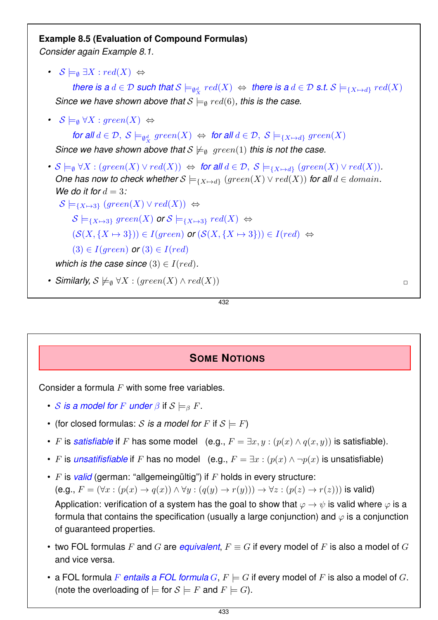#### **Example 8.5 (Evaluation of Compound Formulas)**

*Consider again Example 8.1.*

•  $S \models_{\emptyset} \exists X : red(X) \Leftrightarrow$ 

*there is a*  $d \in \mathcal{D}$  *such that*  $\mathcal{S} \models_{\emptyset^d_X} \mathit{red}(X) \Leftrightarrow$  *there is a*  $d \in \mathcal{D}$  *s.t.*  $\mathcal{S} \models_{\{X \mapsto d\}} \mathit{red}(X)$ *Since we have shown above that*  $S \models_{\emptyset} red(6)$ *, this is the case.* 

•  $S \models_{\emptyset} \forall X : green(X) \Leftrightarrow$ 

*for all*  $d \in \mathcal{D}$ ,  $S \models_{\emptyset^d_X} \text{green}(X) \Leftrightarrow$  *for all*  $d \in \mathcal{D}$ ,  $S \models_{\{X \mapsto d\}} \text{green}(X)$ *Since we have shown above that*  $S \not\models_{\emptyset} \text{green}(1)$  *this is not the case.* 

*•*  $S \models_{\emptyset} \forall X : (green(X) \lor red(X)) \Leftrightarrow$  *for all*  $d \in \mathcal{D}, S \models_{\{X \mapsto d\}} (green(X) \lor red(X)).$ *One has now to check whether*  $S \models_{\{X \mapsto d\}} (green(X) \vee red(X))$  *for all*  $d \in domain$ *. We do it for*  $d = 3$ *:* 

 $S \models_{\{X \mapsto 3\}} (green(X) \vee red(X)) \Leftrightarrow$ 

 $\mathcal{S} \models_{\{X \mapsto 3\}} \text{green}(X)$  or  $\mathcal{S} \models_{\{X \mapsto 3\}} \text{red}(X) \Leftrightarrow$ 

 $(S(X, {X \mapsto 3})) \in I(green)$  *or*  $(S(X, {X \mapsto 3})) \in I(red) \Leftrightarrow$ 

 $(3) \in I(qreen)$  *or*  $(3) \in I(red)$ 

*which is the case since*  $(3) \in I(\text{red})$ *.* 

*• Similarly, S*  $\not\vDash_{\emptyset}$   $\forall X : (green(X) \land red(X))$ 

432

## **SOME NOTIONS**

Consider a formula  $F$  with some free variables.

- S is a model for F under  $\beta$  if  $S \models_{\beta} F$ .
- (for closed formulas: S is a model for F if  $S \models F$ )
- F is *satisfiable* if F has some model (e.g.,  $F = \exists x, y : (p(x) \land q(x, y))$  is satisfiable).
- F is *unsatifisfiable* if F has no model (e.g.,  $F = \exists x : (p(x) \land \neg p(x))$  is unsatisfiable)
- F is *valid* (german: "allgemeingültig") if F holds in every structure:  $(e.g., F = (\forall x : (p(x) \rightarrow q(x)) \land \forall y : (q(y) \rightarrow r(y))) \rightarrow \forall z : (p(z) \rightarrow r(z)))$  is valid) Application: verification of a system has the goal to show that  $\varphi \to \psi$  is valid where  $\varphi$  is a formula that contains the specification (usually a large conjunction) and  $\varphi$  is a conjunction of guaranteed properties.
- two FOL formulas F and G are *equivalent*,  $F \equiv G$  if every model of F is also a model of G and vice versa.
- a FOL formula F *entails a FOL formula*  $G, F \models G$  if every model of F is also a model of G. (note the overloading of  $\models$  for  $S \models F$  and  $F \models G$ ).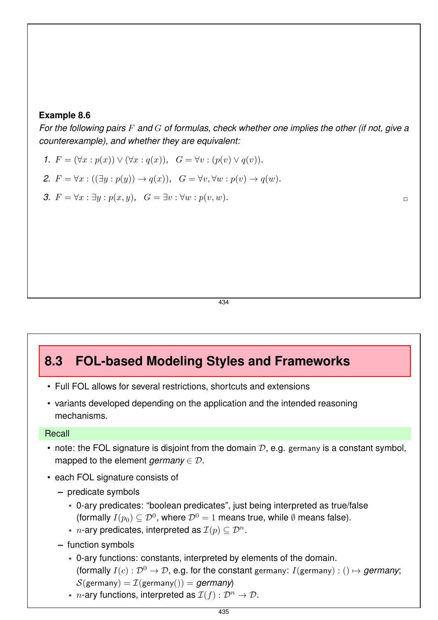#### **Example 8.6**

*For the following pairs* F *and* G *of formulas, check whether one implies the other (if not, give a counterexample), and whether they are equivalent:*

- *1.*  $F = (\forall x : p(x)) \vee (\forall x : q(x)), G = \forall v : (p(v) \vee q(v)).$
- 2.  $F = \forall x : ((\exists y : p(y)) \rightarrow q(x)), G = \forall v, \forall w : p(v) \rightarrow q(w).$
- *3.*  $F = \forall x : ∃y : p(x, y)$ ,  $G = ∃v : �forall w : p(v, w)$ .

434

## **8.3 FOL-based Modeling Styles and Frameworks**

- Full FOL allows for several restrictions, shortcuts and extensions
- variants developed depending on the application and the intended reasoning mechanisms.

#### **Recall**

- note: the FOL signature is disjoint from the domain  $D$ , e.g. germany is a constant symbol, mapped to the element *germany*  $\in \mathcal{D}$ .
- each FOL signature consists of
	- **–** predicate symbols
		- \* 0-ary predicates: "boolean predicates", just being interpreted as true/false (formally  $I(p_0) \subseteq \mathcal{D}^0$ , where  $\mathcal{D}^0 = 1$  means true, while  $\emptyset$  means false).
		- \* *n*-ary predicates, interpreted as  $\mathcal{I}(p) \subseteq \mathcal{D}^n$ .
	- **–** function symbols
		- \* 0-ary functions: constants, interpreted by elements of the domain. (formally  $I(c): \mathcal{D}^0 \to \mathcal{D}$ , e.g. for the constant germany:  $I(\text{germany}) : () \mapsto \text{germany};$  $S$ (germany) =  $\mathcal{I}$ (germany()) = *germany*)
		- \* *n*-ary functions, interpreted as  $\mathcal{I}(f) : \mathcal{D}^n \to \mathcal{D}$ .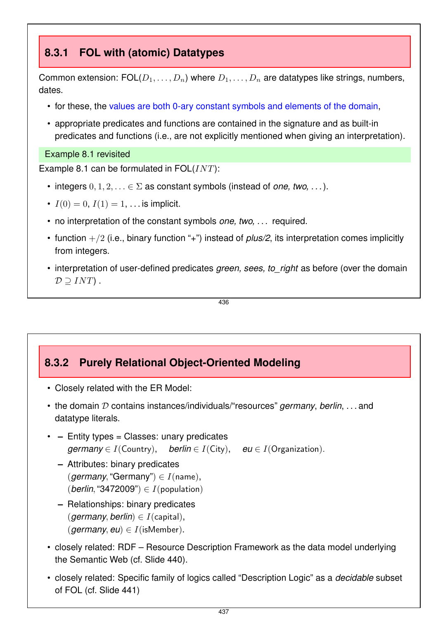## **8.3.1 FOL with (atomic) Datatypes**

Common extension:  $\text{FOL}(D_1, \ldots, D_n)$  where  $D_1, \ldots, D_n$  are datatypes like strings, numbers, dates.

- for these, the values are both 0-ary constant symbols and elements of the domain,
- appropriate predicates and functions are contained in the signature and as built-in predicates and functions (i.e., are not explicitly mentioned when giving an interpretation).

#### Example 8.1 revisited

Example 8.1 can be formulated in  $FOL(INT)$ :

- integers  $0, 1, 2, \ldots \in \Sigma$  as constant symbols (instead of *one, two, ...*).
- $I(0) = 0, I(1) = 1, \ldots$  is implicit.
- no interpretation of the constant symbols *one, two, . . .* required.
- function  $+/2$  (i.e., binary function "+") instead of *plus/2*, its interpretation comes implicitly from integers.
- interpretation of user-defined predicates *green, sees, to right* as before (over the domain  $\mathcal{D} \supseteq INT$ .

436

## **8.3.2 Purely Relational Object-Oriented Modeling**

- Closely related with the ER Model:
- the domain D contains instances/individuals/"resources" *germany*, *berlin*, . . . and datatype literals.
- **–** Entity types = Classes: unary predicates *germany*  $\in I$ (Country), *berlin*  $\in I$ (City), *eu*  $\in I$ (Organization).
	- **–** Attributes: binary predicates (*germany*, "Germany")  $\in I$ (name), (*berlin*, "3472009")  $\in I$ (*population*)
	- **–** Relationships: binary predicates (*germany*, *berlin*)  $\in$  *I*(*capital*),  $(qermany, eu) \in I$ (isMember).
- closely related: RDF Resource Description Framework as the data model underlying the Semantic Web (cf. Slide 440).
- closely related: Specific family of logics called "Description Logic" as a *decidable* subset of FOL (cf. Slide 441)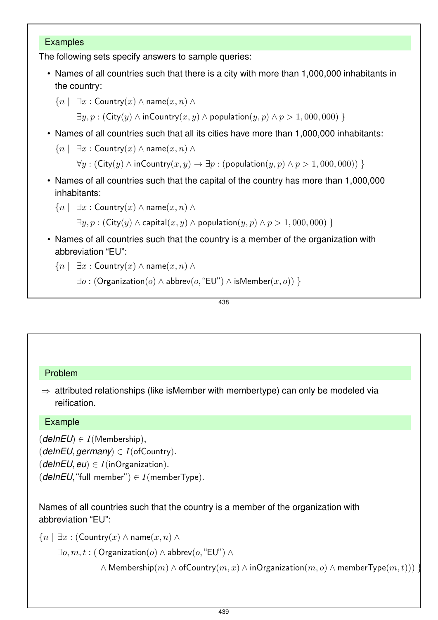#### Examples

The following sets specify answers to sample queries:

• Names of all countries such that there is a city with more than 1,000,000 inhabitants in the country:

```
\{n \mid \exists x : \text{Country}(x) \land \text{name}(x, n) \land \}
```
 $\exists y, p : (\text{City}(y) \land \text{inCountry}(x, y) \land \text{population}(y, p) \land p > 1,000,000)$ 

• Names of all countries such that all its cities have more than 1,000,000 inhabitants:

```
{n \mid \exists x : \textsf{Country}(x) \land \textsf{name}(x, n) \land
```
 $\forall y : (City(y) \land inCountry(x, y) \rightarrow \exists p : (population(y, p) \land p > 1,000,000))$ 

- Names of all countries such that the capital of the country has more than 1,000,000 inhabitants:
	- $\{n \mid \exists x : \mathsf{Country}(x) \land \mathsf{name}(x, n) \land$

 $\exists y, p : (\text{City}(y) \land \text{capital}(x, y) \land \text{population}(y, p) \land p > 1,000,000)$ 

• Names of all countries such that the country is a member of the organization with abbreviation "EU":

```
{n \mid \exists x : \text{Country}(x) \land \text{name}(x, n) \land \text{...}}
```

```
\exists o : (Organization(o) \land abbrev(o, "EU") \land isMember(x, o))
```
438

#### Problem

 $\Rightarrow$  attributed relationships (like isMember with membertype) can only be modeled via reification.

#### Example

 $(delnEU) \in I(Membership)$ ,

 $(dehEU, germany) \in I$  (of Country).

 $(dehEU, eu) \in I$ (inOrganization).

 $(delnEU, "full member") \in I(memberType).$ 

Names of all countries such that the country is a member of the organization with abbreviation "EU":

```
{n \mid \exists x : (Country(x) \land name(x, n) \land \}
```

```
\exists o, m, t : (Organization(o) \wedge abbrev(o, "EU") \wedge
```
 $\wedge$  Membership $(m) \wedge$  of Country $(m, x) \wedge$  in Organization $(m, o) \wedge$  member Type $(m, t))$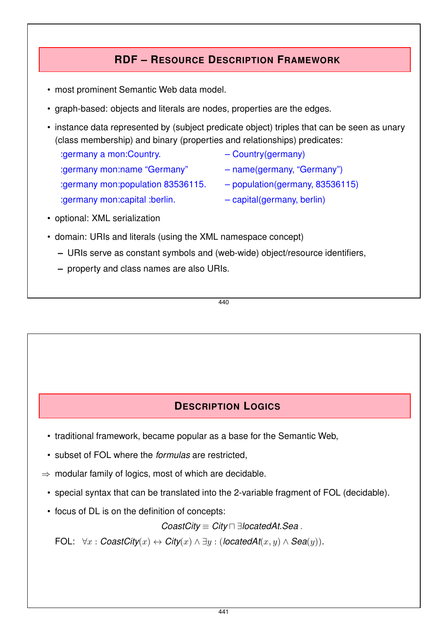## **RDF – RESOURCE DESCRIPTION FRAMEWORK**

- most prominent Semantic Web data model.
- graph-based: objects and literals are nodes, properties are the edges.
- instance data represented by (subject predicate object) triples that can be seen as unary (class membership) and binary (properties and relationships) predicates:
	- :germany a mon:Country.  $\qquad -$  Country(germany) :germany mon:name "Germany" – name(germany, "Germany") :germany mon:population 83536115. – population(germany, 83536115)
		-
		-
		-
	- :germany mon:capital :berlin. – capital(germany, berlin)
- optional: XML serialization
- domain: URIs and literals (using the XML namespace concept)
	- **–** URIs serve as constant symbols and (web-wide) object/resource identifiers,
	- **–** property and class names are also URIs.

440

## **DESCRIPTION LOGICS**

- traditional framework, became popular as a base for the Semantic Web,
- subset of FOL where the *formulas* are restricted,
- $\Rightarrow$  modular family of logics, most of which are decidable.
	- special syntax that can be translated into the 2-variable fragment of FOL (decidable).
	- focus of DL is on the definition of concepts:

#### *CoastCity* ≡ *City* ⊓ ∃*locatedAt.Sea* .

FOL:  $\forall x : \textit{CoastCity}(x) \leftrightarrow \textit{City}(x) \land \exists y : (\textit{locatedAt}(x, y) \land \textit{Seq}(y)).$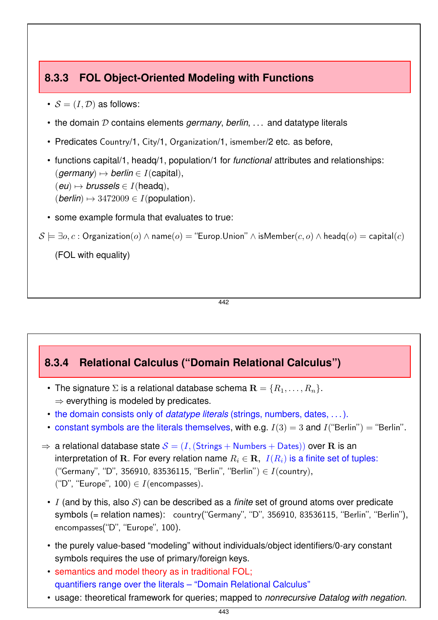## **8.3.3 FOL Object-Oriented Modeling with Functions**

- $S = (I, D)$  as follows:
- the domain D contains elements *germany*, *berlin*, ... and datatype literals
- Predicates Country/1, City/1, Organization/1, ismember/2 etc. as before,
- functions capital/1, headq/1, population/1 for *functional* attributes and relationships:  $(qermany) \mapsto$  *berlin*  $\in$  *I*(capital),  $(eu) \mapsto$  *brussels*  $\in$  *I*(headq),  $(berlin) \rightarrow 3472009 \in I(population).$
- some example formula that evaluates to true:

```
S \models \exists o, c : Organization(o) \land name(o) = "Europ. Union" \land is Member(c, o) \land headq(o) = capital(c)
```
(FOL with equality)

442

## **8.3.4 Relational Calculus ("Domain Relational Calculus")**

- The signature  $\Sigma$  is a relational database schema  $\mathbf{R} = \{R_1, \ldots, R_n\}$ .  $\Rightarrow$  everything is modeled by predicates.
- the domain consists only of *datatype literals* (strings, numbers, dates, . . . ).
- constant symbols are the literals themselves, with e.g.  $I(3) = 3$  and  $I("Berlin") = "Berlin".$
- $\Rightarrow$  a relational database state  $S = (I, (Strings + Numbers + Dates))$  over R is an interpretation of R. For every relation name  $R_i \in \mathbf{R}$ ,  $I(R_i)$  is a finite set of tuples: ("Germany", "D", 356910, 83536115, "Berlin", "Berlin")  $\in I$ (country), ("D", "Europe", 100)  $\in I$  (encompasses).
	- I (and by this, also S) can be described as a *finite* set of ground atoms over predicate symbols (= relation names): country("Germany", "D", 356910, 83536115, "Berlin", "Berlin"), encompasses("D", "Europe", 100).
	- the purely value-based "modeling" without individuals/object identifiers/0-ary constant symbols requires the use of primary/foreign keys.
	- semantics and model theory as in traditional FOL; quantifiers range over the literals – "Domain Relational Calculus"
	- usage: theoretical framework for queries; mapped to *nonrecursive Datalog with negation*.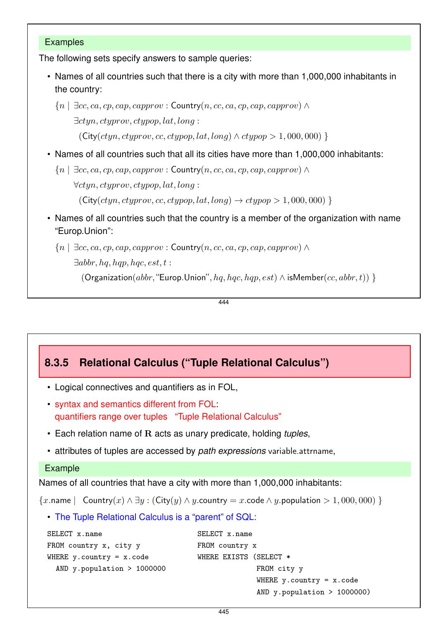#### Examples

The following sets specify answers to sample queries:

• Names of all countries such that there is a city with more than 1,000,000 inhabitants in the country:

 ${n \mid \exists cc, ca, cp, cap, capprov : Country(n, cc, ca, cp, cap, capprov) \wedge$ ∃ctyn, ctyprov, ctypop, lat, long :  $(City(ctyn, ctyprov, cc, ctypop, lat, long) \wedge ctypop > 1,000,000)$ 

- Names of all countries such that all its cities have more than 1,000,000 inhabitants:
	- ${n \mid \exists cc, ca, cp, cap, capprov : Country(n, cc, ca, cp, cap, capprov) \wedge$ ∀ctyn, ctyprov, ctypop, lat, long :  $(\text{City}(ctyn, ctyprov, cc, ctypop, lat, long) \rightarrow ctypop > 1,000,000)$
- Names of all countries such that the country is a member of the organization with name "Europ.Union":
	- ${n \mid \exists cc, ca, cp, cap, capprov : Country(n, cc, ca, cp, cap, capprov) \wedge$

 $\exists$ abbr, hq, hqp, hqc, est, t:

(Organization(abbr, "Europ.Union", hq, hqc, hqp, est)  $\land$  isMember(cc, abbr, t)) }

444

## **8.3.5 Relational Calculus ("Tuple Relational Calculus")**

- Logical connectives and quantifiers as in FOL,
- syntax and semantics different from FOL: quantifiers range over tuples "Tuple Relational Calculus"
- Each relation name of R acts as unary predicate, holding *tuples*,
- attributes of tuples are accessed by *path expressions* variable.attrname,

```
Example
```
Names of all countries that have a city with more than 1,000,000 inhabitants:

```
{x.name } Country(x) \wedge \exists y : (City(y) \wedge y.country = x.code \wedge y.population > 1,000,000)
```
• The Tuple Relational Calculus is a "parent" of SQL:

```
SELECT x.name
FROM country x, city y
WHERE y. country = x. code
  AND y.population > 1000000
                                    SELECT x.name
                                    FROM country x
                                    WHERE EXISTS (SELECT *
                                                   FROM city y
                                                   WHERE y. country = x. code
                                                   AND y.population > 1000000)
```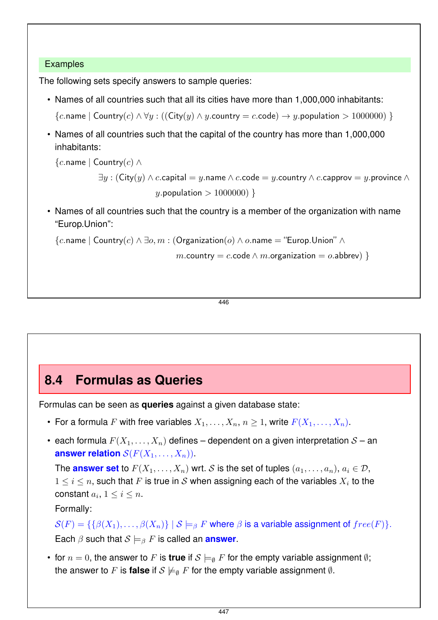#### Examples

The following sets specify answers to sample queries:

- Names of all countries such that all its cities have more than 1,000,000 inhabitants:
	- ${c.name \mid Country(c) \land \forall y : ((City(y) \land y.country = c.code) \rightarrow y.population > 1000000})$
- Names of all countries such that the capital of the country has more than 1,000,000 inhabitants:

{c.name | Country(c)  $∧$ 

 $\exists y : (\mathsf{City}(y) \land c.\mathsf{capital} = y.\mathsf{name} \land c.\mathsf{code} = y.\mathsf{country} \land c.\mathsf{capacity} = y.\mathsf{provide} \land \neg c.\mathsf{output}$ y.population  $> 1000000$ }

• Names of all countries such that the country is a member of the organization with name "Europ.Union":

```
{c}.name | Country(c) \wedge \exists o, m : (Organization(o) \wedge o.name = "Europ.Union" \wedge
```

```
m.country = c.code \land m.organization = o.abbrev) }
```
446

## **8.4 Formulas as Queries**

Formulas can be seen as **queries** against a given database state:

- For a formula F with free variables  $X_1, \ldots, X_n, n \geq 1$ , write  $F(X_1, \ldots, X_n)$ .
- each formula  $F(X_1, \ldots, X_n)$  defines dependent on a given interpretation  $S$  an **answer relation**  $\mathcal{S}(F(X_1, \ldots, X_n))$ .

The **answer set** to  $F(X_1, \ldots, X_n)$  wrt. S is the set of tuples  $(a_1, \ldots, a_n)$ ,  $a_i \in \mathcal{D}$ ,  $1 \leq i \leq n$ , such that F is true in S when assigning each of the variables  $X_i$  to the constant  $a_i, 1 \leq i \leq n$ .

Formally:

 $\mathcal{S}(F) = \{\{\beta(X_1), \ldots, \beta(X_n)\} \mid \mathcal{S} \models_{\beta} F \text{ where } \beta \text{ is a variable assignment of } free(F)\}.$ Each  $\beta$  such that  $S \models_{\beta} F$  is called an **answer**.

• for  $n = 0$ , the answer to F is **true** if  $S \models_{\emptyset} F$  for the empty variable assignment  $\emptyset$ ; the answer to F is **false** if  $S \not\models_{\emptyset} F$  for the empty variable assignment  $\emptyset$ .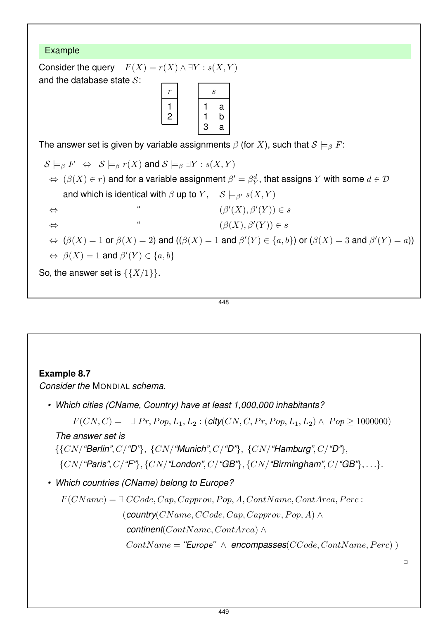

448

## **Example 8.7**

*Consider the* MONDIAL *schema.*

*• Which cities (CName, Country) have at least 1,000,000 inhabitants?*

 $F(CN, C) = \exists Pr, Pop, L_1, L_2 : (city(CN, C, Pr, Pop, L_1, L_2) \wedge Pop \ge 1000000)$ 

*The answer set is*

{{CN/*"Berlin"*, C/*"D"*}, {CN/*"Munich"*, C/*"D"*}, {CN/*"Hamburg"*, C/*"D"*},

- {CN/*"Paris"*, C/*"F"*}, {CN/*"London"*, C/*"GB"*}, {CN/*"Birmingham"*, C/*"GB"*}, . . .}.
- *Which countries (CName) belong to Europe?*

$$
F(CName) = \exists CCode, Cap, Capprov, Pop, A, ContName, ContArea, Perc:
$$
  
\n(**country**(*CName*, *CCode*, *Cap*, *Capprov*, *Pop*, *A*)  $\land$   
\n**continent**(*ContName*, *ContArea*)  $\land$   
\n
$$
ContName = "Europe" \land encompasses(CCode, ContName, Perc) )
$$

 $\Box$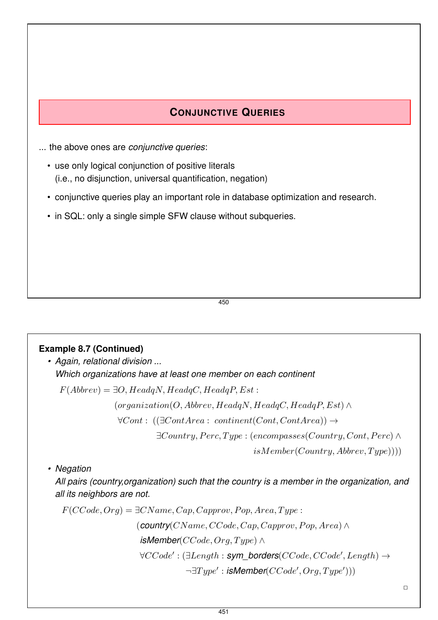## **CONJUNCTIVE QUERIES**

... the above ones are *conjunctive queries*:

- use only logical conjunction of positive literals (i.e., no disjunction, universal quantification, negation)
- conjunctive queries play an important role in database optimization and research.
- in SQL: only a single simple SFW clause without subqueries.

450

#### **Example 8.7 (Continued)**

*• Again, relational division ... Which organizations have at least one member on each continent*

 $F(Abbrev) = \exists O, HeadqN, HeadqC, HeadqP, Est:$ 

 $(organization (O, Abbrev, Head qN, Head qC, Head qP, Est) \wedge$ 

 $\forall Cont : ((\exists ContArea: continent(Cont, ContArea)) \rightarrow$ 

 $\exists Country, Perc, Type: (encompasses (Country, Cont, Perc) \wedge$ 

 $isMember(Country, Abbrew, Type))$ )

*• Negation*

*All pairs (country,organization) such that the country is a member in the organization, and all its neighbors are not.*

 $F(CCode,Org) = \exists CName, Cap, Capprov, Pop, Area, Type:$  $($ **country** $(CName, CCode, Cap, Capprov, Pop, Area) \wedge$  $i$ *sMember*(*CCode*, *Org*,  $Type$ ) ∧ ∀CCode′ : (∃Length : *sym\_borders*(CCode, CCode′ , Length) →  $\neg \exists Type': \mathit{isMember}(CCode',Org, Type'))$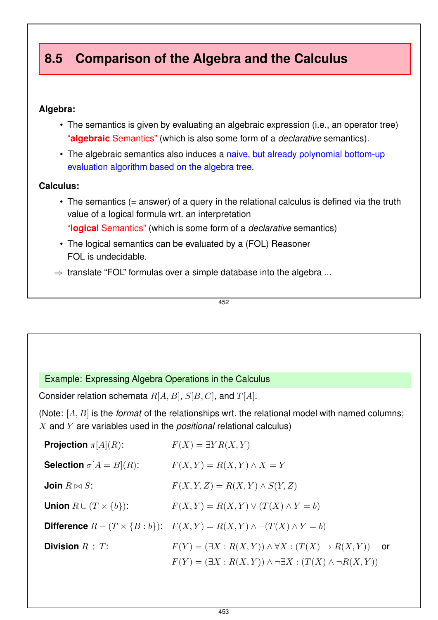# **8.5 Comparison of the Algebra and the Calculus**

#### **Algebra:**

- The semantics is given by evaluating an algebraic expression (i.e., an operator tree) "**algebraic** Semantics" (which is also some form of a *declarative* semantics).
- The algebraic semantics also induces a naive, but already polynomial bottom-up evaluation algorithm based on the algebra tree.

#### **Calculus:**

- The semantics (= answer) of a query in the relational calculus is defined via the truth value of a logical formula wrt. an interpretation "**logical** Semantics" (which is some form of a *declarative* semantics)
- The logical semantics can be evaluated by a (FOL) Reasoner FOL is undecidable.
- $\Rightarrow$  translate "FOL" formulas over a simple database into the algebra ...

$$
\overline{\textbf{452}}
$$

#### Example: Expressing Algebra Operations in the Calculus

Consider relation schemata  $R[A, B], S[B, C],$  and  $T[A].$ 

(Note: [A, B] is the *format* of the relationships wrt. the relational model with named columns; X and Y are variables used in the *positional* relational calculus)

| <b>Projection</b> $\pi[A](R)$ :       | $F(X) = \exists Y R(X, Y)$                                                                                                                                           |
|---------------------------------------|----------------------------------------------------------------------------------------------------------------------------------------------------------------------|
| <b>Selection</b> $\sigma[A = B](R)$ : | $F(X,Y) = R(X,Y) \wedge X = Y$                                                                                                                                       |
| Join $R \bowtie S$ :                  | $F(X, Y, Z) = R(X, Y) \wedge S(Y, Z)$                                                                                                                                |
| Union $R \cup (T \times \{b\})$ :     | $F(X,Y) = R(X,Y) \vee (T(X) \wedge Y = b)$                                                                                                                           |
|                                       | <b>Difference</b> $R - (T \times \{B : b\})$ : $F(X, Y) = R(X, Y) \wedge \neg (T(X) \wedge Y = b)$                                                                   |
| <b>Division</b> $R \div T$ :          | $F(Y) = (\exists X : R(X, Y)) \wedge \forall X : (T(X) \rightarrow R(X, Y))$ or<br>$F(Y) = (\exists X : R(X, Y)) \wedge \neg \exists X : (T(X) \wedge \neg R(X, Y))$ |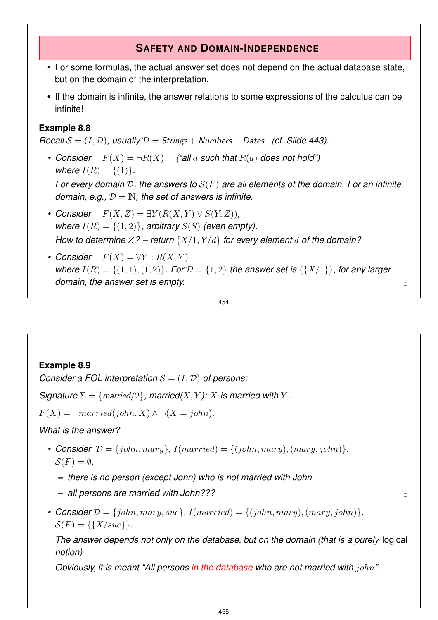## **SAFETY AND DOMAIN-INDEPENDENCE**

- For some formulas, the actual answer set does not depend on the actual database state, but on the domain of the interpretation.
- If the domain is infinite, the answer relations to some expressions of the calculus can be infinite!

## **Example 8.8**

*Recall*  $S = (I, D)$ *, usually*  $D =$  *Strings* + *Numbers* + *Dates (cf. Slide 443).* 

- Consider  $F(X) = \neg R(X)$  *("all a such that*  $R(a)$  does not hold") *where*  $I(R) = \{(1)\}.$ *For every domain* D*, the answers to* S(F) *are all elements of the domain. For an infinite domain, e.g.,* D = IN*, the set of answers is infinite.*
- Consider  $F(X, Z) = \exists Y (R(X, Y) \vee S(Y, Z))$ , *where*  $I(R) = \{(1, 2)\}\$ , arbitrary  $S(S)$  (even empty). *How to determine*  $Z$ ? – return  $\{X/1, Y/d\}$  *for every element d of the domain*?
- Consider  $F(X) = \forall Y : R(X, Y)$ *where*  $I(R) = \{(1, 1), (1, 2)\}$ *. For*  $D = \{1, 2\}$  *the answer set is*  $\{\{X/1\}\}$ *, for any larger domain, the answer set is empty.*  $\Box$

454

## **Example 8.9**

*Consider a FOL interpretation*  $S = (I, D)$  *of persons:* 

*Signature*  $\Sigma = \{married/2\}$ , married(*X,Y*): *X* is married with Y.

 $F(X) = \neg married(john, X) \land \neg (X = john).$ 

*What is the answer?*

- Consider  $\mathcal{D} = \{john, Mary\}$ ,  $I(married) = \{(john, Mary), (mary, john)\}$ .  $\mathcal{S}(F) = \emptyset$ .
	- **–** *there is no person (except John) who is not married with John*
	- **–** *all persons are married with John???* ✷
- Consider  $\mathcal{D} = \{john, Mary, sue\}$ ,  $I(married) = \{(john, Mary), (mary, john)\}$ .  $S(F) = \{\{X/see\}\}.$

*The answer depends not only on the database, but on the domain (that is a purely* logical *notion)*

*Obviously, it is meant "All persons in the database who are not married with* john*".*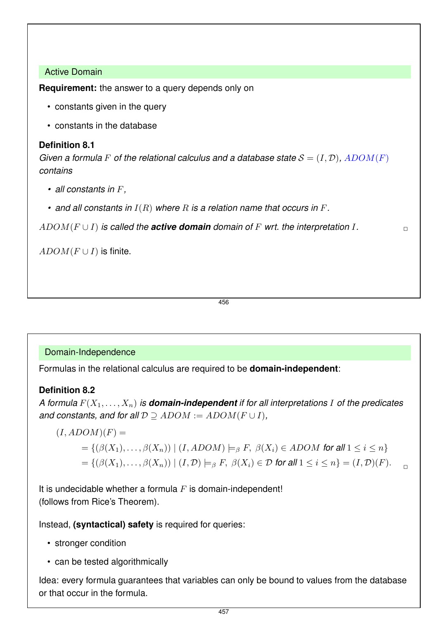#### Active Domain

**Requirement:** the answer to a query depends only on

- constants given in the query
- constants in the database

#### **Definition 8.1**

*Given a formula* F of the relational calculus and a database state  $S = (I, \mathcal{D})$ ,  $\overline{ADOM}(F)$ *contains*

- *all constants in* F*,*
- *and all constants in* I(R) *where* R *is a relation name that occurs in* F*.*

 $ADOM(F \cup I)$  *is called the active domain domain of* F wrt. the interpretation I.

 $ADOM(F\cup I)$  is finite.

456

#### Domain-Independence

Formulas in the relational calculus are required to be **domain-independent**:

#### **Definition 8.2**

*A formula*  $F(X_1, \ldots, X_n)$  *is domain-independent if for all interpretations* I *of the predicates and constants, and for all*  $D \supset ADOM := ADOM(F \cup I)$ ,

$$
(I, ADOM)(F) =
$$
  
= {( $\beta(X_1),..., \beta(X_n)$ ) | (*I*, *ADOM*) |= $\beta$  *F*,  $\beta(X_i) \in ADOM$  for all  $1 \le i \le n$ }  
= {( $\beta(X_1),..., \beta(X_n)$ ) | (*I*, *D*) |= $\beta$  *F*,  $\beta(X_i) \in D$  for all  $1 \le i \le n$ } = (*I*, *D*)(*F*).

It is undecidable whether a formula  $F$  is domain-independent! (follows from Rice's Theorem).

Instead, **(syntactical) safety** is required for queries:

- stronger condition
- can be tested algorithmically

Idea: every formula guarantees that variables can only be bound to values from the database or that occur in the formula.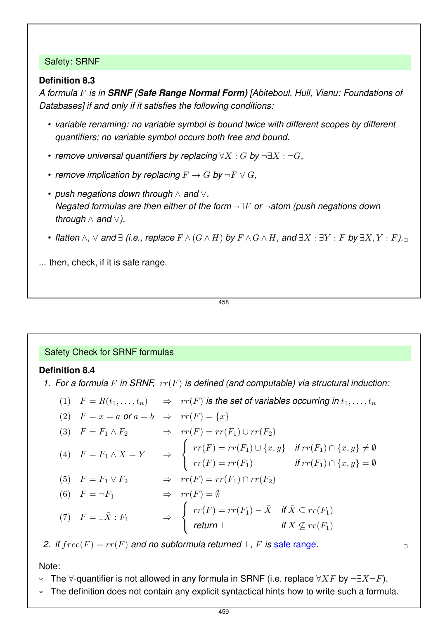#### Safety: SRNF

#### **Definition 8.3**

*A formula* F *is in SRNF (Safe Range Normal Form) [Abiteboul, Hull, Vianu: Foundations of Databases] if and only if it satisfies the following conditions:*

- *variable renaming: no variable symbol is bound twice with different scopes by different quantifiers; no variable symbol occurs both free and bound.*
- *remove universal quantifiers by replacing* ∀X : G *by* ¬∃X : ¬G*,*
- *•* remove implication by replacing  $F \to G$  by  $\neg F \lor G$ ,
- *push negations down through* ∧ *and* ∨*. Negated formulas are then either of the form* ¬∃F *or* ¬*atom (push negations down through* ∧ *and* ∨*),*
- *•* flatten  $\land$ ,  $\lor$  and  $\exists$  (i.e., replace  $F \land (G \land H)$  by  $F \land G \land H$ , and  $\exists X : \exists Y : F$  by  $\exists X, Y : F$ ). $\Box$

... then, check, if it is safe range.

458

#### Safety Check for SRNF formulas

#### **Definition 8.4**

- *1. For a formula* F *in SRNF,* rr(F) *is defined (and computable) via structural induction:*
	- (1)  $F = R(t_1, \ldots, t_n)$   $\Rightarrow$   $rr(F)$  *is the set of variables occurring in*  $t_1, \ldots, t_n$

$$
(2) \quad F = x = a \text{ or } a = b \Rightarrow \operatorname{rr}(F) = \{x\}
$$

(3) 
$$
F = F_1 \wedge F_2
$$
  $\Rightarrow$   $rr(F) = rr(F_1) \cup rr(F_2)$ 

$$
(4) \quad F = F_1 \land X = Y \qquad \Rightarrow \qquad \begin{cases} \quad rr(F) = rr(F_1) \cup \{x, y\} & \text{if } rr(F_1) \cap \{x, y\} \neq \emptyset \\ \quad rr(F) = rr(F_1) & \text{if } rr(F_1) \cap \{x, y\} = \emptyset \end{cases}
$$

(5) 
$$
F = F_1 \vee F_2
$$
  $\Rightarrow$   $rr(F) = rr(F_1) \cap rr(F_2)$ 

(6) 
$$
F = \neg F_1
$$
  $\Rightarrow$   $rr(F) = \emptyset$   
\n(7)  $F = \exists \bar{X} : F_1$   $\Rightarrow$  
$$
\begin{cases} rr(F) = rr(F_1) - \bar{X} & \text{if } \bar{X} \subseteq rr(F_1) \\ return \bot & \text{if } \bar{X} \not\subseteq rr(F_1) \end{cases}
$$

*2. if*  $free(F) = rr(F)$  *and no subformula returned*  $\perp$ , F *is safe range.* 

Note:

- ∗ The  $\forall$ -quantifier is not allowed in any formula in SRNF (i.e. replace  $\forall X F$  by  $\neg \exists X \neg F$ ).
- ∗ The definition does not contain any explicit syntactical hints how to write such a formula.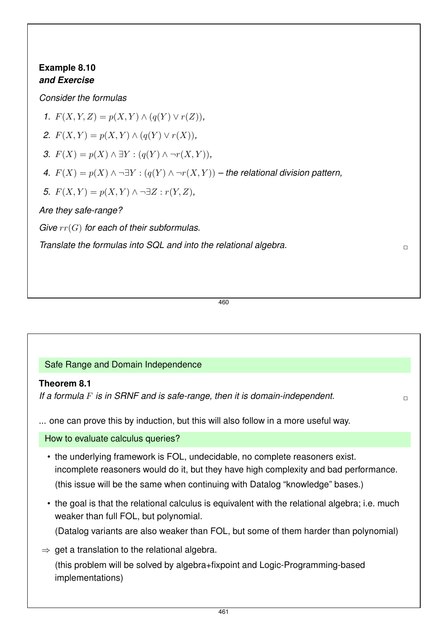## **Example 8.10** *and Exercise*

*Consider the formulas*

*1.*  $F(X, Y, Z) = p(X, Y) \wedge (q(Y) \vee r(Z)),$ 

2.  $F(X, Y) = p(X, Y) \wedge (q(Y) \vee r(X)),$ 

*3.*  $F(X) = p(X) \land ∃Y : (q(Y) \land ¬r(X, Y)),$ 

*4.*  $F(X) = p(X) \land \neg \exists Y : (q(Y) \land \neg r(X, Y))$  – the relational division pattern,

*5.*  $F(X, Y) = p(X, Y) \land \neg \exists Z : r(Y, Z)$ ,

*Are they safe-range?*

*Give* rr(G) *for each of their subformulas.*

*Translate the formulas into SQL and into the relational algebra.* ✷

460

## Safe Range and Domain Independence

## **Theorem 8.1**

*If a formula* F *is in SRNF and is safe-range, then it is domain-independent.* ✷

... one can prove this by induction, but this will also follow in a more useful way.

How to evaluate calculus queries?

- the underlying framework is FOL, undecidable, no complete reasoners exist. incomplete reasoners would do it, but they have high complexity and bad performance. (this issue will be the same when continuing with Datalog "knowledge" bases.)
- the goal is that the relational calculus is equivalent with the relational algebra; i.e. much weaker than full FOL, but polynomial.

(Datalog variants are also weaker than FOL, but some of them harder than polynomial)

 $\Rightarrow$  get a translation to the relational algebra.

(this problem will be solved by algebra+fixpoint and Logic-Programming-based implementations)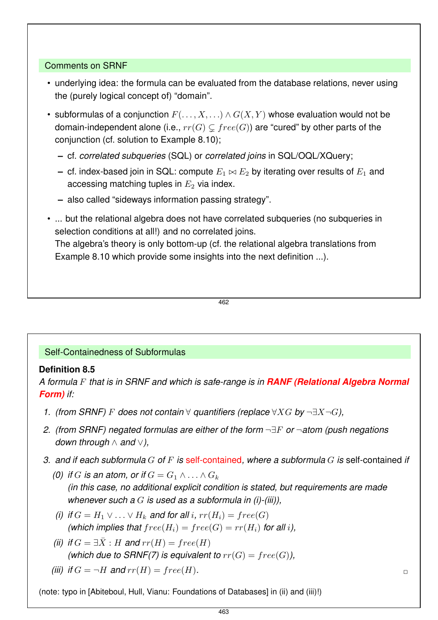#### Comments on SRNF

- underlying idea: the formula can be evaluated from the database relations, never using the (purely logical concept of) "domain".
- subformulas of a conjunction  $F(\ldots, X, \ldots) \wedge G(X, Y)$  whose evaluation would not be domain-independent alone (i.e.,  $rr(G) \subseteq free(G)$ ) are "cured" by other parts of the conjunction (cf. solution to Example 8.10);
	- **–** cf. *correlated subqueries* (SQL) or *correlated joins* in SQL/OQL/XQuery;
	- **–** cf. index-based join in SQL: compute  $E_1 \Join E_2$  by iterating over results of  $E_1$  and accessing matching tuples in  $E_2$  via index.
	- **–** also called "sideways information passing strategy".
- ... but the relational algebra does not have correlated subqueries (no subqueries in selection conditions at all!) and no correlated joins.

The algebra's theory is only bottom-up (cf. the relational algebra translations from Example 8.10 which provide some insights into the next definition ...).

462

#### Self-Containedness of Subformulas

#### **Definition 8.5**

*A formula* F *that is in SRNF and which is safe-range is in RANF (Relational Algebra Normal Form) if:*

- *1. (from SRNF)* F *does not contain* ∀ *quantifiers (replace* ∀XG *by* ¬∃X¬G*),*
- *2. (from SRNF) negated formulas are either of the form* ¬∃F *or* ¬*atom (push negations down through* ∧ *and* ∨*),*
- *3. and if each subformula* G *of* F *is* self-contained*, where a subformula* G *is* self-contained *if*
	- *(0)* if G is an atom, or if  $G = G_1 \wedge \ldots \wedge G_k$ *(in this case, no additional explicit condition is stated, but requirements are made whenever such a* G *is used as a subformula in (i)-(iii)),*
	- *(i)* if  $G = H_1 \vee \ldots \vee H_k$  and for all i,  $rr(H_i) = free(G)$ *(which implies that*  $free(H_i) = free(G) = rr(H_i)$  *for all i)*,
	- *(ii)* if  $G = \exists \overline{X} : H$  and  $rr(H) = free(H)$ *(which due to SRNF(7) is equivalent to*  $rr(G) = free(G)$ *)*,
	- *(iii)* if  $G = \neg H$  and  $rr(H) = free(H)$ .

(note: typo in [Abiteboul, Hull, Vianu: Foundations of Databases] in (ii) and (iii)!)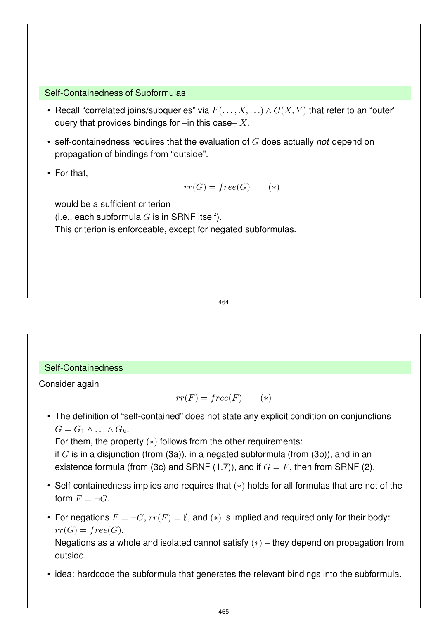#### Self-Containedness of Subformulas

- Recall "correlated joins/subqueries" via  $F(\ldots, X, \ldots) \wedge G(X, Y)$  that refer to an "outer" query that provides bindings for  $-\text{in}$  this case– X.
- self-containedness requires that the evaluation of G does actually *not* depend on propagation of bindings from "outside".
- For that,

$$
rr(G) = free(G) \qquad (*)
$$

would be a sufficient criterion

(i.e., each subformula  $G$  is in SRNF itself).

This criterion is enforceable, except for negated subformulas.

464

## Self-Containedness

Consider again

$$
rr(F) = free(F) \qquad (*)
$$

• The definition of "self-contained" does not state any explicit condition on conjunctions  $G = G_1 \wedge \ldots \wedge G_k$ .

For them, the property  $(*)$  follows from the other requirements:

if  $G$  is in a disjunction (from (3a)), in a negated subformula (from (3b)), and in an existence formula (from (3c) and SRNF (1.7)), and if  $G = F$ , then from SRNF (2).

- Self-containedness implies and requires that (∗) holds for all formulas that are not of the form  $F = \neg G$ .
- For negations  $F = \neg G$ ,  $rr(F) = \emptyset$ , and  $(*)$  is implied and required only for their body:  $rr(G) = free(G).$

Negations as a whole and isolated cannot satisfy (∗) – they depend on propagation from outside.

• idea: hardcode the subformula that generates the relevant bindings into the subformula.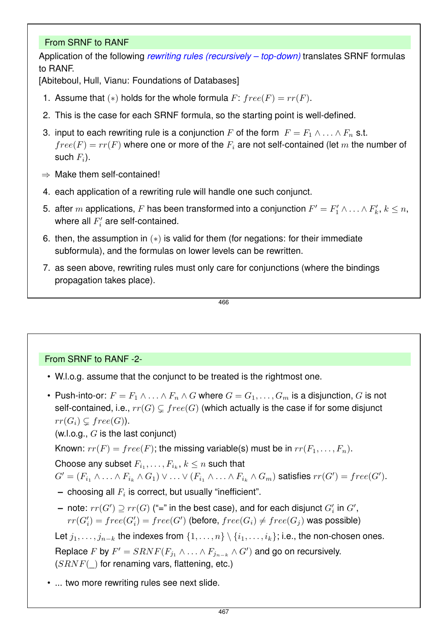#### From SRNF to RANF

Application of the following *rewriting rules (recursively – top-down)* translates SRNF formulas to RANF.

[Abiteboul, Hull, Vianu: Foundations of Databases]

- 1. Assume that  $(*)$  holds for the whole formula  $F: free(F) = rr(F)$ .
- 2. This is the case for each SRNF formula, so the starting point is well-defined.
- 3. input to each rewriting rule is a conjunction F of the form  $F = F_1 \wedge \ldots \wedge F_n$  s.t.  $free(F) = rr(F)$  where one or more of the  $F<sub>i</sub>$  are not self-contained (let m the number of such  $F_i$ ).
- $\Rightarrow$  Make them self-contained!
- 4. each application of a rewriting rule will handle one such conjunct.
- 5. after  $m$  applications,  $F$  has been transformed into a conjunction  $F' = F'_1 \wedge \ldots \wedge F'_k$ ,  $k \leq n$ , where all  $F_i'$  are self-contained.
- 6. then, the assumption in (∗) is valid for them (for negations: for their immediate subformula), and the formulas on lower levels can be rewritten.
- 7. as seen above, rewriting rules must only care for conjunctions (where the bindings propagation takes place).

$$
\overline{466}
$$

## From SRNF to RANF -2-

- W.l.o.g. assume that the conjunct to be treated is the rightmost one.
- Push-into-or:  $F = F_1 \wedge \ldots \wedge F_n \wedge G$  where  $G = G_1, \ldots, G_m$  is a disjunction, G is not self-contained, i.e.,  $rr(G) \subseteq free(G)$  (which actually is the case if for some disjunct  $rr(G_i) \subseteq free(G)$ ).

(w.l.o.g.,  $G$  is the last conjunct)

Known:  $rr(F) = free(F)$ ; the missing variable(s) must be in  $rr(F_1, \ldots, F_n)$ .

Choose any subset  $F_{i_1}, \ldots, F_{i_k}, k \leq n$  such that

 $G' = (F_{i_1} \wedge \ldots \wedge F_{i_k} \wedge G_1) \vee \ldots \vee (F_{i_1} \wedge \ldots \wedge F_{i_k} \wedge G_m)$  satisfies  $rr(G') = free(G').$ 

- $-$  choosing all  $F_i$  is correct, but usually "inefficient".
- **−** note:  $rr(G') \supseteq rr(G)$  ("=" in the best case), and for each disjunct  $G_i'$  in  $G',$  $rr(G'_i) = free(G'_i) = free(G')$  (before,  $free(G_i) \neq free(G_j)$  was possible)

Let  $j_1, \ldots, j_{n-k}$  the indexes from  $\{1, \ldots, n\} \setminus \{i_1, \ldots, i_k\}$ ; i.e., the non-chosen ones. Replace F by  $F'=SRNF(F_{j_1}\wedge \ldots \wedge F_{j_{n-k}}\wedge G')$  and go on recursively.  $(SRNF()$  for renaming vars, flattening, etc.)

• ... two more rewriting rules see next slide.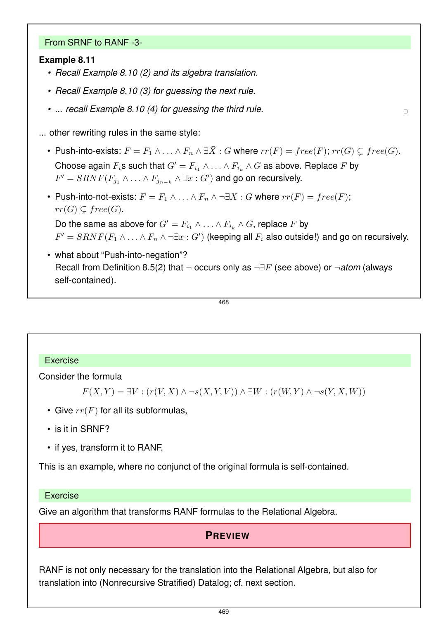#### From SRNF to RANF -3-

#### **Example 8.11**

- *Recall Example 8.10 (2) and its algebra translation.*
- *Recall Example 8.10 (3) for guessing the next rule.*
- ... recall Example 8.10 (4) for guessing the third rule.

... other rewriting rules in the same style:

- Push-into-exists:  $F = F_1 \wedge \ldots \wedge F_n \wedge \exists \bar{X} : G$  where  $rr(F) = free(F); rr(G) \subset free(G)$ . Choose again  $F_i$ s such that  $G' = F_{i_1} \wedge \ldots \wedge F_{i_k} \wedge G$  as above. Replace F by  $F'=SRNF(F_{j_1}\wedge\ldots\wedge F_{j_{n-k}}\wedge\exists x:G')$  and go on recursively.
- Push-into-not-exists:  $F = F_1 \wedge \ldots \wedge F_n \wedge \neg \exists \overline{X} : G$  where  $rr(F) = free(F);$  $rr(G) \subsetneq free(G).$

Do the same as above for  $G' = F_{i_1} \wedge \ldots \wedge F_{i_k} \wedge G$ , replace F by  $F'=SRNF(F_1\wedge\ldots\wedge F_n\wedge\neg\exists x:G')$  (keeping all  $F_i$  also outside!) and go on recursively.

• what about "Push-into-negation"? Recall from Definition 8.5(2) that ¬ occurs only as ¬∃F (see above) or ¬*atom* (always self-contained).

468

#### Exercise

Consider the formula

```
F(X, Y) = \exists V : (r(V, X) \land \neg s(X, Y, V)) \land \exists W : (r(W, Y) \land \neg s(Y, X, W))
```
- Give  $rr(F)$  for all its subformulas,
- is it in SRNF?
- if yes, transform it to RANF.

This is an example, where no conjunct of the original formula is self-contained.

#### Exercise

Give an algorithm that transforms RANF formulas to the Relational Algebra.

#### **PREVIEW**

RANF is not only necessary for the translation into the Relational Algebra, but also for translation into (Nonrecursive Stratified) Datalog; cf. next section.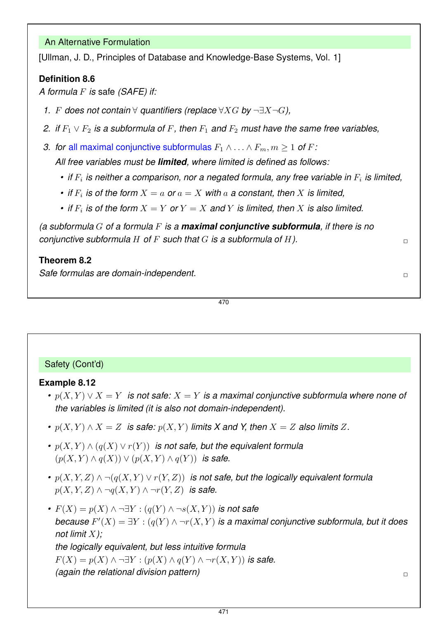#### An Alternative Formulation

[Ullman, J. D., Principles of Database and Knowledge-Base Systems, Vol. 1]

### **Definition 8.6**

*A formula* F *is* safe *(SAFE) if:*

- *1.* F *does not contain* ∀ *quantifiers (replace* ∀XG *by* ¬∃X¬G*),*
- *2. if*  $F_1 \vee F_2$  *is a subformula of* F, then  $F_1$  *and*  $F_2$  *must have the same free variables,*
- *3. for all maximal conjunctive subformulas*  $F_1 \wedge \ldots \wedge F_m$ ,  $m \geq 1$  *of*  $F$ :

*All free variables must be limited, where limited is defined as follows:*

- *if*  $F_i$  is neither a comparison, nor a negated formula, any free variable in  $F_i$  is limited,
- *if*  $F_i$  *is of the form*  $X = a$  *or*  $a = X$  *with*  $a$  *a constant, then*  $X$  *is limited,*
- *if*  $F_i$  *is of the form*  $X = Y$  *or*  $Y = X$  *and*  $Y$  *is limited, then*  $X$  *is also limited.*

*(a subformula* G *of a formula* F *is a maximal conjunctive subformula, if there is no conjunctive subformula* H *of* F *such that* G *is a subformula of* H*).* ✷

#### **Theorem 8.2**

**Safe formulas are domain-independent.**  $\Box$ 

## Safety (Cont'd)

#### **Example 8.12**

- *•* p(X, Y ) ∨ X = Y *is not safe:* X = Y *is a maximal conjunctive subformula where none of the variables is limited (it is also not domain-independent).*
- *•*  $p(X, Y) \wedge X = Z$  *is safe:*  $p(X, Y)$  *limits* X and Y, then  $X = Z$  also limits Z.
- $p(X, Y) \wedge (q(X) \vee r(Y))$  *is not safe, but the equivalent formula*  $(p(X, Y) \wedge q(X)) \vee (p(X, Y) \wedge q(Y))$  *is safe.*
- *•* p(X, Y, Z) ∧ ¬(q(X, Y ) ∨ r(Y, Z)) *is not safe, but the logically equivalent formula*  $p(X, Y, Z) \wedge \neg q(X, Y) \wedge \neg r(Y, Z)$  *is safe.*
- *•*  $F(X) = p(X) \land \neg \exists Y : (q(Y) \land \neg s(X, Y))$  *is not safe because*  $F'(X) = \exists Y : (q(Y) \wedge \neg r(X, Y))$  *is a maximal conjunctive subformula, but it does not limit* X*); the logically equivalent, but less intuitive formula*  $F(X) = p(X) \wedge \neg \exists Y : (p(X) \wedge q(Y) \wedge \neg r(X, Y))$  is safe. *(again the relational division pattern)* ✷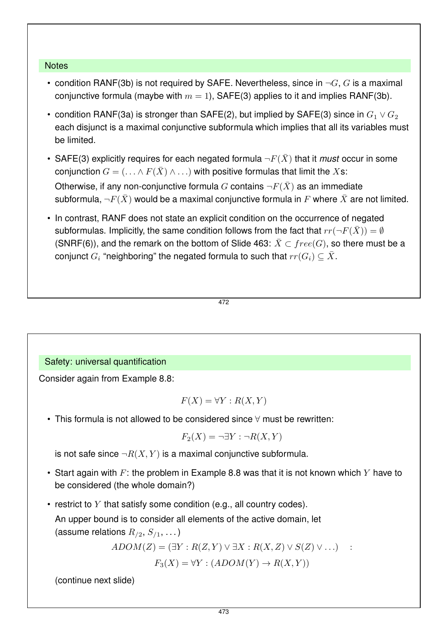#### **Notes**

- condition RANF(3b) is not required by SAFE. Nevertheless, since in  $\neg G$ , G is a maximal conjunctive formula (maybe with  $m = 1$ ), SAFE(3) applies to it and implies RANF(3b).
- condition RANF(3a) is stronger than SAFE(2), but implied by SAFE(3) since in  $G_1 \vee G_2$ each disjunct is a maximal conjunctive subformula which implies that all its variables must be limited.
- SAFE(3) explicitly requires for each negated formula  $\neg F(\bar{X})$  that it *must* occur in some conjunction  $G = (\ldots \wedge F(\bar{X}) \wedge \ldots)$  with positive formulas that limit the Xs: Otherwise, if any non-conjunctive formula G contains  $\neg F(\bar{X})$  as an immediate

subformula,  $\neg F(\bar{X})$  would be a maximal conjunctive formula in F where  $\bar{X}$  are not limited.

• In contrast, RANF does not state an explicit condition on the occurrence of negated subformulas. Implicitly, the same condition follows from the fact that  $rr(\neg F(\bar{X})) = \emptyset$ (SNRF(6)), and the remark on the bottom of Slide 463:  $\bar{X} \subset free(G)$ , so there must be a conjunct  $G_i$  "neighboring" the negated formula to such that  $rr(G_i) \subseteq \overline{X}$ .

$$
472\\
$$

#### Safety: universal quantification

Consider again from Example 8.8:

$$
F(X) = \forall Y : R(X, Y)
$$

• This formula is not allowed to be considered since ∀ must be rewritten:

$$
F_2(X) = \neg \exists Y : \neg R(X, Y)
$$

is not safe since  $\neg R(X, Y)$  is a maximal conjunctive subformula.

- Start again with F: the problem in Example 8.8 was that it is not known which Y have to be considered (the whole domain?)
- restrict to  $Y$  that satisfy some condition (e.g., all country codes).

An upper bound is to consider all elements of the active domain, let (assume relations  $R_{/2}, S_{/1}, \ldots$ )

$$
ADOM(Z) = (\exists Y : R(Z, Y) \lor \exists X : R(X, Z) \lor S(Z) \lor \dots) \quad :
$$

 $F_3(X) = \forall Y : (ADOM(Y) \rightarrow R(X, Y))$ 

(continue next slide)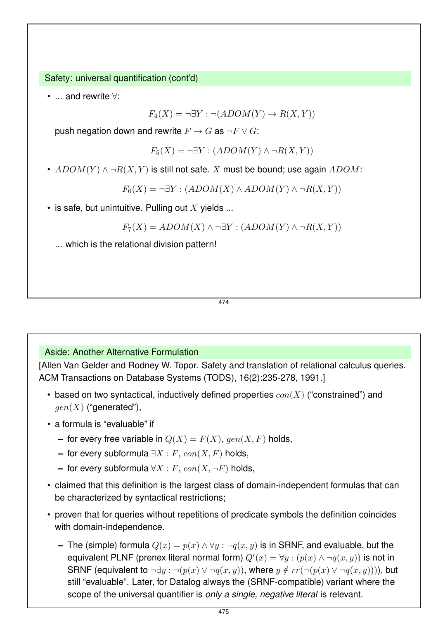Safety: universal quantification (cont'd)

• ... and rewrite ∀:

 $F_4(X) = \neg \exists Y : \neg (ADOM(Y) \rightarrow R(X, Y))$ 

push negation down and rewrite  $F \to G$  as  $\neg F \vee G$ :

 $F_5(X) = \neg \exists Y : (ADOM(Y) \land \neg R(X, Y))$ 

•  $ADOM(Y) \wedge \neg R(X,Y)$  is still not safe. X must be bound; use again  $ADOM$ :

 $F_6(X) = \neg \exists Y : (ADOM(X) \land ADOM(Y) \land \neg R(X, Y))$ 

• is safe, but unintuitive. Pulling out X yields ...

$$
F_7(X) = ADOM(X) \land \neg \exists Y : (ADOM(Y) \land \neg R(X, Y))
$$

... which is the relational division pattern!

474

Aside: Another Alternative Formulation

[Allen Van Gelder and Rodney W. Topor. Safety and translation of relational calculus queries. ACM Transactions on Database Systems (TODS), 16(2):235-278, 1991.]

- based on two syntactical, inductively defined properties  $con(X)$  ("constrained") and  $gen(X)$  ("generated"),
- a formula is "evaluable" if
	- **–** for every free variable in  $Q(X) = F(X)$ , gen $(X, F)$  holds,
	- **–** for every subformula  $\exists X$  : *F*,  $con(X, F)$  holds,
	- **–** for every subformula  $\forall X$  : *F*,  $con(X, \neg F)$  holds,
- claimed that this definition is the largest class of domain-independent formulas that can be characterized by syntactical restrictions;
- proven that for queries without repetitions of predicate symbols the definition coincides with domain-independence.
	- **–** The (simple) formula  $Q(x) = p(x) \land \forall y : \neg q(x, y)$  is in SRNF, and evaluable, but the equivalent PLNF (prenex literal normal form)  $Q'(x) = \forall y : (p(x) \land \neg q(x, y))$  is not in SRNF (equivalent to  $\neg \exists y : \neg (p(x) \vee \neg q(x, y))$ , where  $y \notin rr(\neg (p(x) \vee \neg q(x, y))))$ , but still "evaluable". Later, for Datalog always the (SRNF-compatible) variant where the scope of the universal quantifier is *only a single, negative literal* is relevant.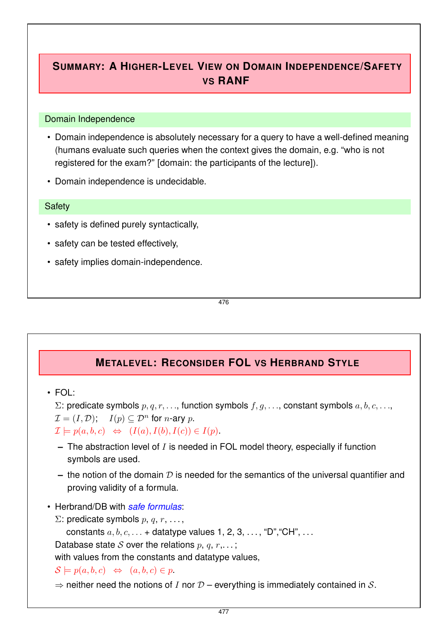## **SUMMARY: A HIGHER-LEVEL VIEW ON DOMAIN INDEPENDENCE/SAFETY VS RANF**

#### Domain Independence

- Domain independence is absolutely necessary for a query to have a well-defined meaning (humans evaluate such queries when the context gives the domain, e.g. "who is not registered for the exam?" [domain: the participants of the lecture]).
- Domain independence is undecidable.

#### **Safety**

- safety is defined purely syntactically,
- safety can be tested effectively,
- safety implies domain-independence.

476

## **METALEVEL: RECONSIDER FOL VS HERBRAND STYLE**

• FOL:

 $\Sigma$ : predicate symbols  $p, q, r, \ldots$ , function symbols  $f, g, \ldots$ , constant symbols  $a, b, c, \ldots$ ,

 $\mathcal{I} = (I, \mathcal{D})$ ;  $I(p) \subset \mathcal{D}^n$  for *n*-ary *p*.

 $\mathcal{I} \models p(a, b, c) \Leftrightarrow (I(a), I(b), I(c)) \in I(p).$ 

- **–** The abstraction level of I is needed in FOL model theory, especially if function symbols are used.
- $-$  the notion of the domain  $D$  is needed for the semantics of the universal quantifier and proving validity of a formula.
- Herbrand/DB with *safe formulas*:
	- Σ: predicate symbols  $p, q, r, \ldots$

constants  $a, b, c, \ldots$  + datatype values 1, 2, 3,  $\ldots$ , "D", "CH",  $\ldots$ 

Database state S over the relations  $p, q, r, \ldots;$ 

with values from the constants and datatype values,

- $\mathcal{S} \models p(a, b, c) \Leftrightarrow (a, b, c) \in p.$
- $\Rightarrow$  neither need the notions of I nor  $D$  everything is immediately contained in S.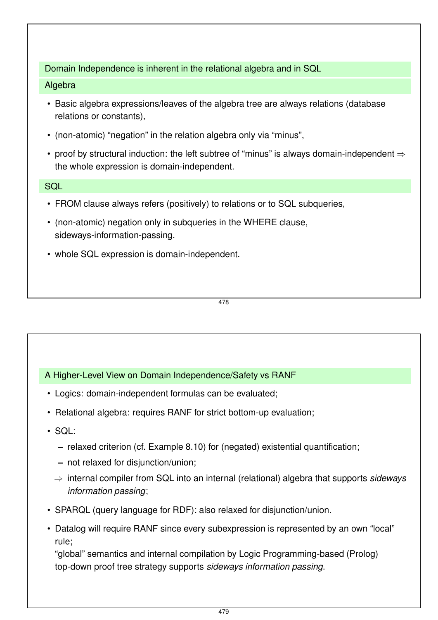#### Domain Independence is inherent in the relational algebra and in SQL

#### Algebra

- Basic algebra expressions/leaves of the algebra tree are always relations (database relations or constants),
- (non-atomic) "negation" in the relation algebra only via "minus",
- proof by structural induction: the left subtree of "minus" is always domain-independent  $\Rightarrow$ the whole expression is domain-independent.

#### **SQL**

- FROM clause always refers (positively) to relations or to SQL subqueries,
- (non-atomic) negation only in subqueries in the WHERE clause, sideways-information-passing.
- whole SQL expression is domain-independent.

478

## A Higher-Level View on Domain Independence/Safety vs RANF

- Logics: domain-independent formulas can be evaluated;
- Relational algebra: requires RANF for strict bottom-up evaluation;
- SQL:
	- **–** relaxed criterion (cf. Example 8.10) for (negated) existential quantification;
	- **–** not relaxed for disjunction/union;
	- ⇒ internal compiler from SQL into an internal (relational) algebra that supports *sideways information passing*;
- SPARQL (query language for RDF): also relaxed for disjunction/union.
- Datalog will require RANF since every subexpression is represented by an own "local" rule;

"global" semantics and internal compilation by Logic Programming-based (Prolog) top-down proof tree strategy supports *sideways information passing*.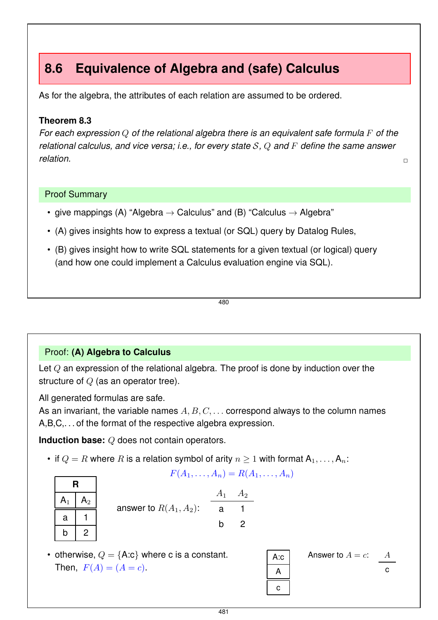# **8.6 Equivalence of Algebra and (safe) Calculus**

As for the algebra, the attributes of each relation are assumed to be ordered.

#### **Theorem 8.3**

*For each expression* Q *of the relational algebra there is an equivalent safe formula* F *of the relational calculus, and vice versa; i.e., for every state* S*,* Q *and* F *define the same answer relation.* ✷

#### Proof Summary

- give mappings (A) "Algebra  $\rightarrow$  Calculus" and (B) "Calculus  $\rightarrow$  Algebra"
- (A) gives insights how to express a textual (or SQL) query by Datalog Rules,
- (B) gives insight how to write SQL statements for a given textual (or logical) query (and how one could implement a Calculus evaluation engine via SQL).

480

## Proof: **(A) Algebra to Calculus**

Let  $Q$  an expression of the relational algebra. The proof is done by induction over the structure of  $Q$  (as an operator tree).

All generated formulas are safe.

As an invariant, the variable names  $A, B, C, \ldots$  correspond always to the column names A,B,C,. . . of the format of the respective algebra expression.

**Induction base:** Q does not contain operators.

• if  $Q = R$  where R is a relation symbol of arity  $n \geq 1$  with format  $A_1, \ldots, A_n$ :

$$
F(A_1,\ldots,A_n)=R(A_1,\ldots,A_n)
$$

| R             |               |  |  |  |  |  |
|---------------|---------------|--|--|--|--|--|
| $\mathsf A_1$ | $\mathsf A_2$ |  |  |  |  |  |
| а             |               |  |  |  |  |  |
| b             |               |  |  |  |  |  |

|                           |     | $A_1 \quad A_2$ |
|---------------------------|-----|-----------------|
| answer to $R(A_1, A_2)$ : | a a |                 |
|                           | h.  | - 2             |

• otherwise,  $Q = \{A:c\}$  where c is a constant. Then,  $F(A) = (A = c)$ .

| A:c         | Answer to $A = c$ : | $\frac{A}{c}$ |
|-------------|---------------------|---------------|
| $\boxed{c}$ | $\boxed{a}$         |               |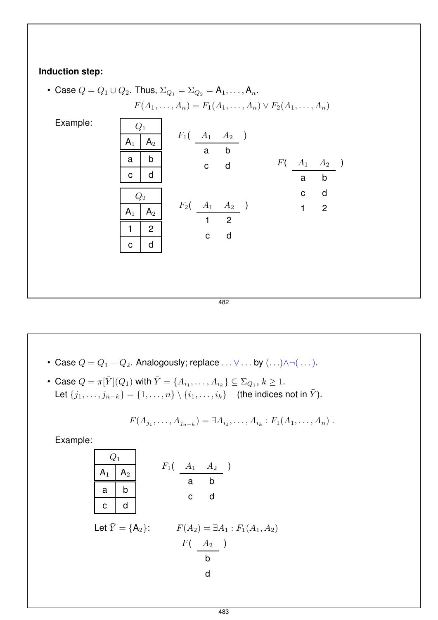## **Induction step:**

• Case 
$$
Q = Q_1 \cup Q_2
$$
. Thus,  $\Sigma_{Q_1} = \Sigma_{Q_2} = A_1, ..., A_n$ .  
\n $F(A_1, ..., A_n) = F_1(A_1, ..., A_n) \vee F_2(A_1, ..., A_n)$   
\nExample:  
\n $\begin{array}{|c|c|c|}\n\hline\nQ_1 \\
\hline\nA_1 & A_2 \\
\hline\na & b \\
\hline\nc & d \\
\hline\nQ_2 \\
\hline\nA_1 & A_2 \\
\hline\nQ_2 \\
\hline\nA_1 & A_2 \\
\hline\nP_2(\begin{array}{ccc} A_1 & A_2 \\ A_1 & A_2 \\ \hline\n1 & 2 \\
\hline\n0 & d \\
\hline\n\end{array})\n\end{array}$ \n $F_2(\begin{array}{ccc} A_1 & A_2 \\ A_1 & A_2 \\ \hline\n1 & 2 \\
\hline\n\end{array})$ \n $\begin{array}{c}\n\text{c} & \text{d} \\
\hline\n1 & 2 \\
\hline\n\end{array}$ \n $\begin{array}{c}\n\text{d} & \text{e} & \text{d} \\
\hline\n\end{array}$ 

482

- Case  $Q = Q_1 Q_2$ . Analogously; replace ...  $\vee \ldots$  by  $(\ldots) \wedge \neg (\ldots)$ .
- Case  $Q = \pi[\bar{Y}](Q_1)$  with  $\bar{Y} = \{A_{i_1}, \ldots, A_{i_k}\} \subseteq \Sigma_{Q_1}, k \ge 1$ . Let  $\{j_1, \ldots, j_{n-k}\} = \{1, \ldots, n\} \setminus \{i_1, \ldots, i_k\}$  (the indices not in  $\bar{Y}$ ).

$$
F(A_{j_1},\ldots,A_{j_{n-k}})=\exists A_{i_1},\ldots,A_{i_k}:F_1(A_1,\ldots,A_n).
$$

Example:

| $Q_1$                                                                        | $F_1$ | $A_1$ | $A_2$ |
|------------------------------------------------------------------------------|-------|-------|-------|
| a                                                                            | b     | c     | d     |
| c                                                                            | d     | c     | d     |
| Let $\overline{Y} = \{A_2\}$ :<br>F( $A_2$ ) = $\exists A_1 : F_1(A_1, A_2)$ |       |       |       |
| b                                                                            |       |       |       |

d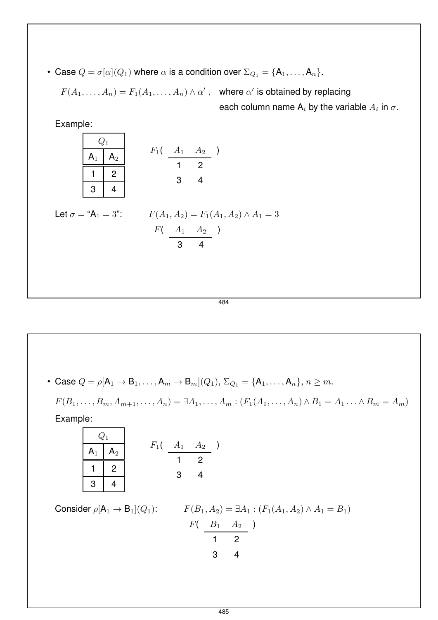• Case  $Q = \sigma[\alpha](Q_1)$  where  $\alpha$  is a condition over  $\Sigma_{Q_1} = \{A_1, \ldots, A_n\}.$ 

$$
F(A_1,\ldots,A_n)=F_1(A_1,\ldots,A_n)\wedge\alpha'
$$

, where  $\alpha'$  is obtained by replacing each column name  $\mathsf{A}_i$  by the variable  $A_i$  in  $\sigma.$ 

| Example:                   |              |                                          |                                                                                    |
|----------------------------|--------------|------------------------------------------|------------------------------------------------------------------------------------|
|                            | $Q_1$        |                                          |                                                                                    |
|                            | $A_1$        | A <sub>2</sub>                           | $F_1(A_1 \ A_2)$                                                                   |
|                            | $\mathbf{1}$ | $\begin{array}{c} \boxed{2} \end{array}$ | $3 \qquad 4$                                                                       |
|                            | 3            | $\overline{4}$                           |                                                                                    |
| Let $\sigma = "A_1 = 3"$ : |              |                                          | $F(A_1, A_2) = F_1(A_1, A_2) \wedge A_1 = 3$<br>$F(A_1 \ A_2)$<br>$3 \overline{4}$ |

484

• Case  $Q = \rho[A_1 \to B_1, \ldots, A_m \to B_m](Q_1), \Sigma_{Q_1} = \{A_1, \ldots, A_n\}, n \ge m.$ 

 $F(B_1, \ldots, B_m, A_{m+1}, \ldots, A_n) = \exists A_1, \ldots, A_m : (F_1(A_1, \ldots, A_n) \wedge B_1 = A_1 \ldots \wedge B_m = A_m)$ 

Example:

| $Q_1$ | $F_1$ | $A_1$ | $A_2$ |
|-------|-------|-------|-------|
| 1     | 2     | 3     | 4     |

Consider  $\rho[A_1 \rightarrow B_1](Q_1)$ :

$$
F(B_1, A_2) = \exists A_1 : (F_1(A_1, A_2) \land A_1 = B_1)
$$
  
\n
$$
F(\begin{array}{c} B_1 & A_2 \\ \hline 1 & 2 \end{array})
$$
  
\n3 4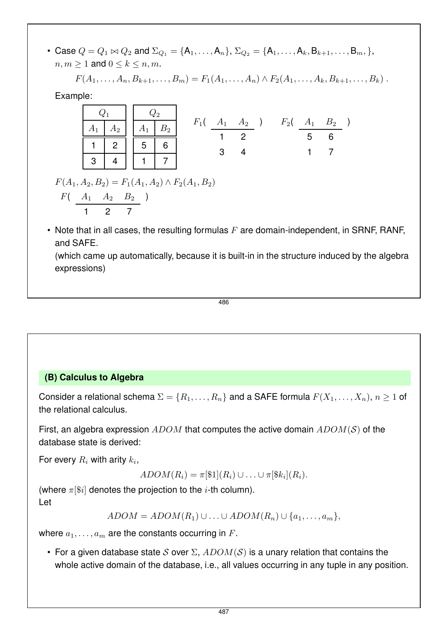• Case  $Q = Q_1 \bowtie Q_2$  and  $\Sigma_{Q_1} = \{A_1, \ldots, A_n\}, \Sigma_{Q_2} = \{A_1, \ldots, A_k, B_{k+1}, \ldots, B_m, \},$  $n, m \geq 1$  and  $0 \leq k \leq n, m$ .

 $F(A_1, \ldots, A_n, B_{k+1}, \ldots, B_m) = F_1(A_1, \ldots, A_n) \wedge F_2(A_1, \ldots, A_k, B_{k+1}, \ldots, B_k)$ .

Example:

|          | $\boxed{A_1 \mid A_2}$ $\boxed{A_1 \mid B_2}$                                 |  |  |  |              |  |  |   | $F_1$ ( $A_1$ $A_2$ ) $F_2$ ( $A_1$ $B_2$ ) |  |
|----------|-------------------------------------------------------------------------------|--|--|--|--------------|--|--|---|---------------------------------------------|--|
|          | $\begin{array}{c c c c c c c c c} \hline 1 & 2 & 5 & 6 \\ \hline \end{array}$ |  |  |  | $\mathbf{3}$ |  |  | 5 | 6                                           |  |
| $3 \mid$ |                                                                               |  |  |  |              |  |  |   |                                             |  |

 $F(A_1, A_2, B_2) = F_1(A_1, A_2) \wedge F_2(A_1, B_2)$  $F(A_1 \ A_2 \ B_2)$ 

1 2 7

• Note that in all cases, the resulting formulas  $F$  are domain-independent, in SRNF, RANF, and SAFE.

(which came up automatically, because it is built-in in the structure induced by the algebra expressions)

$$
\overline{486}
$$

## **(B) Calculus to Algebra**

Consider a relational schema  $\Sigma = \{R_1, \ldots, R_n\}$  and a SAFE formula  $F(X_1, \ldots, X_n)$ ,  $n \ge 1$  of the relational calculus.

First, an algebra expression  $ADOM$  that computes the active domain  $ADOM(S)$  of the database state is derived:

For every  $R_i$  with arity  $k_i$ ,

 $ADOM(R_i) = \pi[\$1](R_i) \cup ... \cup \pi[\$k_i](R_i).$ 

(where  $\pi[\$i]$  denotes the projection to the *i*-th column). Let

 $ADOM = ADOM(R_1) \cup ... \cup ADOM(R_n) \cup \{a_1,...,a_m\},$ 

where  $a_1, \ldots, a_m$  are the constants occurring in F.

• For a given database state S over  $\Sigma$ ,  $ADOM(S)$  is a unary relation that contains the whole active domain of the database, i.e., all values occurring in any tuple in any position.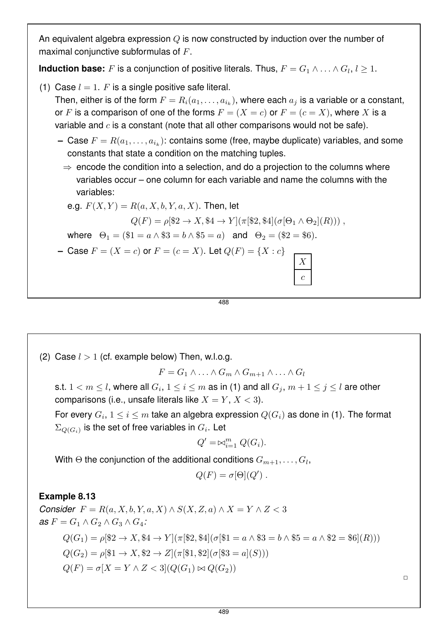An equivalent algebra expression Q is now constructed by induction over the number of maximal conjunctive subformulas of F.

**Induction base:** F is a conjunction of positive literals. Thus,  $F = G_1 \wedge \ldots \wedge G_l$ ,  $l \geq 1$ .

(1) Case  $l = 1$ . F is a single positive safe literal.

Then, either is of the form  $F = R_i(a_1, \ldots, a_{i_k})$ , where each  $a_i$  is a variable or a constant, or F is a comparison of one of the forms  $F = (X = c)$  or  $F = (c = X)$ , where X is a variable and  $c$  is a constant (note that all other comparisons would not be safe).

- **–** Case  $F = R(a_1, \ldots, a_{i_k})$ : contains some (free, maybe duplicate) variables, and some constants that state a condition on the matching tuples.
	- $\Rightarrow$  encode the condition into a selection, and do a projection to the columns where variables occur – one column for each variable and name the columns with the variables:

e.g. 
$$
F(X,Y) = R(a, X, b, Y, a, X)
$$
. Then, let

$$
Q(F) = \rho[\$2 \to X, \$4 \to Y](\pi[\$2, \$4](\sigma[\Theta_1 \wedge \Theta_2](R))) ,
$$

where  $\Theta_1 = (\$1 = a \land \$3 = b \land \$5 = a)$  and  $\Theta_2 = (\$2 = \$6)$ .

**–** Case  $F = (X = c)$  or  $F = (c = X)$ . Let  $Q(F) = \{X : c\}$ 

$$
\begin{array}{|c|} \hline X \\ \hline c \\ \hline \end{array}
$$

488

(2) Case  $l > 1$  (cf. example below) Then, w.l.o.g.

 $F = G_1 \wedge \ldots \wedge G_m \wedge G_{m+1} \wedge \ldots \wedge G_l$ 

s.t.  $1 < m \leq l$ , where all  $G_i, 1 \leq i \leq m$  as in (1) and all  $G_j, m+1 \leq j \leq l$  are other comparisons (i.e., unsafe literals like  $X = Y, X < 3$ ).

For every  $G_i,$   $1\leq i\leq m$  take an algebra expression  $Q(G_i)$  as done in (1). The format  $\Sigma_{Q(G_i)}$  is the set of free variables in  $G_i.$  Let

$$
Q' = \bowtie_{i=1}^{m} Q(G_i).
$$

With  $\Theta$  the conjunction of the additional conditions  $G_{m+1}, \ldots, G_l$ 

$$
Q(F) = \sigma[\Theta](Q') .
$$

#### **Example 8.13**

*Consider*  $F = R(a, X, b, Y, a, X) \wedge S(X, Z, a) \wedge X = Y \wedge Z < 3$ *as*  $F = G_1 \wedge G_2 \wedge G_3 \wedge G_4$ :  $Q(G_1) = \rho$  $\{2 \to X, 34 \to Y\}$  $(\pi$  $\{32, 34\}$  $(\sigma$  $\{31 = a \land 33 = b \land 35 = a \land 32 = 36$  $(R))$ 

$$
Q(G_2) = \rho[\$1 \to X, \$2 \to Z](\pi[\$1, \$2](\sigma[\$3 = a](S)))
$$

$$
Q(F) = \sigma[X = Y \wedge Z < 3](Q(G_1) \bowtie Q(G_2))
$$

 $\Box$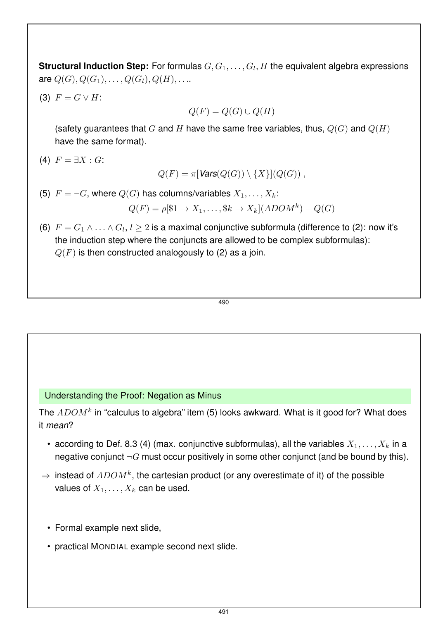**Structural Induction Step:** For formulas  $G, G_1, \ldots, G_l, H$  the equivalent algebra expressions are  $Q(G), Q(G_1), \ldots, Q(G_l), Q(H), \ldots$ .

(3)  $F = G \vee H$ :

 $Q(F) = Q(G) \cup Q(H)$ 

(safety guarantees that G and H have the same free variables, thus,  $Q(G)$  and  $Q(H)$ have the same format).

(4)  $F = \exists X : G:$ 

 $Q(F) = \pi$ [*Vars*( $Q(G)$ ) \{X}[( $Q(G)$ ),

(5)  $F = \neg G$ , where  $Q(G)$  has columns/variables  $X_1, \ldots, X_k$ :

$$
Q(F) = \rho[\$1 \to X_1, \dots, \$k \to X_k](ADOM^k) - Q(G)
$$

(6)  $F = G_1 \wedge \ldots \wedge G_l$ ,  $l \geq 2$  is a maximal conjunctive subformula (difference to (2): now it's the induction step where the conjuncts are allowed to be complex subformulas):  $Q(F)$  is then constructed analogously to (2) as a join.

$$
\overline{490}
$$

#### Understanding the Proof: Negation as Minus

The  $ADOM^k$  in "calculus to algebra" item (5) looks awkward. What is it good for? What does it *mean*?

- according to Def. 8.3 (4) (max. conjunctive subformulas), all the variables  $X_1, \ldots, X_k$  in a negative conjunct  $\neg G$  must occur positively in some other conjunct (and be bound by this).
- $\Rightarrow$  instead of  $ADOM^{k}$ , the cartesian product (or any overestimate of it) of the possible values of  $X_1, \ldots, X_k$  can be used.
	- Formal example next slide,
	- practical MONDIAL example second next slide.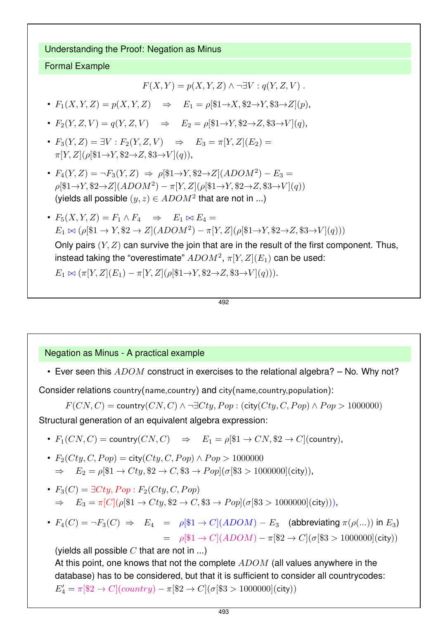Understanding the Proof: Negation as Minus

#### Formal Example

$$
F(X,Y) = p(X,Y,Z) \land \neg \exists V : q(Y,Z,V) .
$$

•  $F_1(X, Y, Z) = p(X, Y, Z) \Rightarrow E_1 = \rho [\$1 \rightarrow X, \$2 \rightarrow Y, \$3 \rightarrow Z](p),$ 

- $F_2(Y, Z, V) = q(Y, Z, V) \Rightarrow E_2 = \rho[\$1 \rightarrow Y, \$2 \rightarrow Z, \$3 \rightarrow V](q),$
- $F_3(Y, Z) = \exists V : F_2(Y, Z, V) \Rightarrow E_3 = \pi[Y, Z](E_2) =$  $\pi[Y, Z](\rho[\$1\rightarrow Y, \$2\rightarrow Z, \$3\rightarrow V](q)),$
- $F_4(Y, Z) = \neg F_3(Y, Z) \Rightarrow \rho[\$1 \rightarrow Y, \$2 \rightarrow Z](ADOM^2) E_3 =$  $\rho[^{31}\rightarrow Y, $2\rightarrow Z](ADOM^2) - \pi[Y, Z](\rho[^{31}\rightarrow Y, $2\rightarrow Z, $3\rightarrow V](q))$ (yields all possible  $(y, z) \in ADOM^2$  that are not in ...)
- $F_5(X, Y, Z) = F_1 \wedge F_4 \Rightarrow E_1 \bowtie E_4 =$  $E_1 \bowtie (\rho [\$1 \to Y, \$2 \to Z](ADOM^2) - \pi [Y, Z](\rho [\$1 \to Y, \$2 \to Z, \$3 \to V](q)))$

Only pairs  $(Y, Z)$  can survive the join that are in the result of the first component. Thus, instead taking the "overestimate"  $ADOM^2, \pi[Y,Z](E_1)$  can be used:

 $E_1 \bowtie (\pi[Y, Z](E_1) - \pi[Y, Z](\rho[\$1\rightarrow Y, \$2\rightarrow Z, \$3\rightarrow V](q))).$ 

$$
\overline{492}
$$

#### Negation as Minus - A practical example

• Ever seen this  $ADOM$  construct in exercises to the relational algebra?  $-$  No. Why not?

Consider relations country(name,country) and city(name,country,population):

 $F(CN, C) =$  country $(CN, C) \wedge \neg \exists Cty, Pop : (city(Cty, C, Pop) \wedge Pop > 1000000)$ Structural generation of an equivalent algebra expression:

- $F_1(CN, C) = \text{country}(CN, C) \Rightarrow E_1 = \rho \$\mathbb{1} \to CN, \$\mathbb{2} \to C$  (country),
- $F_2(Cty, C, Pop) = \text{city}(Cty, C, Pop) \wedge Pop > 1000000$  $\Rightarrow$   $E_2 = \rho [\$1 \to Cty, \$2 \to C, \$3 \to Pop](\sigma [\$3 > 1000000](\text{city})),$
- $F_3(C) = \exists Cty, Pop : F_2(Cty, C, Pop)$  $\Rightarrow$   $E_3 = \pi [C] (\rho [\$1 \to Cty, \$2 \to C, \$3 \to Pop] (\sigma [\$3 > 100000] (city))),$
- $F_4(C) = \neg F_3(C) \Rightarrow E_4 = \rho \cong 1 \rightarrow C \cong (ADOM) E_3$  (abbreviating  $\pi(\rho(\ldots))$  in  $E_3$ )  $= \rho$ [\$1  $\rightarrow C$ ](ADOM) –  $\pi$ [\$2  $\rightarrow C$ ]( $\sigma$ [\$3 > 1000000](city))

(yields all possible  $C$  that are not in ...)

At this point, one knows that not the complete  $ADOM$  (all values anywhere in the database) has to be considered, but that it is sufficient to consider all countrycodes:  $E'_4 = \pi [\$2 \to C](country) - \pi [\$2 \to C](\sigma [\$3 > 1000000]$ (city))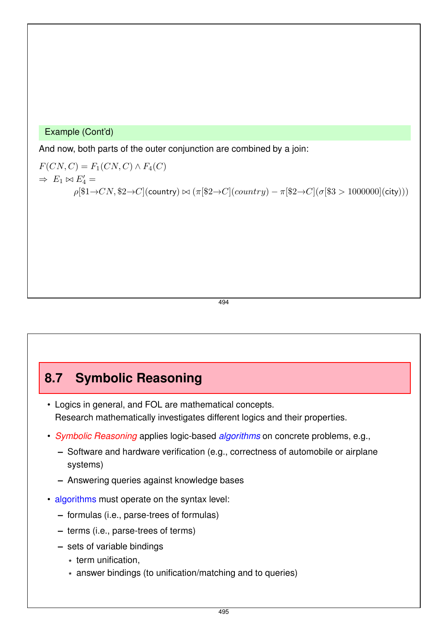#### Example (Cont'd)

And now, both parts of the outer conjunction are combined by a join:

 $F(CN, C) = F_1(CN, C) \wedge F_4(C)$  $\Rightarrow E_1 \bowtie E'_4 =$  $\rho[$1\rightarrow CN, $2\rightarrow C]$ (country)  $\bowtie (\pi[$2\rightarrow C]$ (country) –  $\pi[$2\rightarrow C]$ ( $\sigma[$3 > 1000000]$ (city)))

494

## **8.7 Symbolic Reasoning**

- Logics in general, and FOL are mathematical concepts. Research mathematically investigates different logics and their properties.
- *Symbolic Reasoning* applies logic-based *algorithms* on concrete problems, e.g.,
	- **–** Software and hardware verification (e.g., correctness of automobile or airplane systems)
	- **–** Answering queries against knowledge bases
- algorithms must operate on the syntax level:
	- **–** formulas (i.e., parse-trees of formulas)
	- **–** terms (i.e., parse-trees of terms)
	- **–** sets of variable bindings
		- \* term unification,
		- \* answer bindings (to unification/matching and to queries)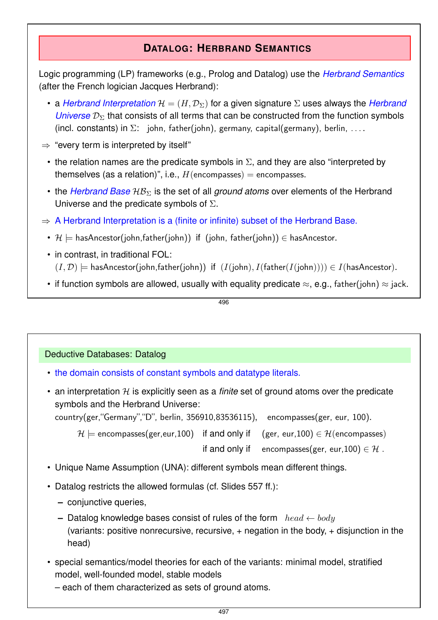## **DATALOG: HERBRAND SEMANTICS**

Logic programming (LP) frameworks (e.g., Prolog and Datalog) use the *Herbrand Semantics* (after the French logician Jacques Herbrand):

- a *Herbrand Interpretation*  $H = (H, \mathcal{D}_{\Sigma})$  for a given signature  $\Sigma$  uses always the *Herbrand Universe*  $\mathcal{D}_{\Sigma}$  that consists of all terms that can be constructed from the function symbols (incl. constants) in  $\Sigma$ : john, father(john), germany, capital(germany), berlin, ...
- $\Rightarrow$  "every term is interpreted by itself"
	- the relation names are the predicate symbols in  $\Sigma$ , and they are also "interpreted by themselves (as a relation)", i.e.,  $H$ (encompasses) = encompasses.
	- the *Herbrand Base*  $\mathcal{HB}_{\Sigma}$  is the set of all *ground atoms* over elements of the Herbrand Universe and the predicate symbols of  $\Sigma$ .
- $\Rightarrow$  A Herbrand Interpretation is a (finite or infinite) subset of the Herbrand Base.
	- $\mathcal{H} \models$  hasAncestor(john,father(john)) if (john, father(john))  $\in$  hasAncestor.
	- in contrast, in traditional FOL:  $(I, \mathcal{D})$   $\models$  hasAncestor(john,father(john)) if  $(I(john), I(father(I(john))) \in I(hasAncestor)$ .
	- if function symbols are allowed, usually with equality predicate  $\approx$ , e.g., father(john)  $\approx$  jack.

496

#### Deductive Databases: Datalog

- the domain consists of constant symbols and datatype literals.
- an interpretation  $H$  is explicitly seen as a *finite* set of ground atoms over the predicate symbols and the Herbrand Universe:

country(ger,"Germany","D", berlin, 356910,83536115), encompasses(ger, eur, 100).

 $\mathcal{H} \models$  encompasses(ger, eur, 100) if and only if (ger, eur, 100)  $\in \mathcal{H}$ (encompasses)

if and only if encompasses(ger, eur, 100)  $\in \mathcal{H}$ .

- Unique Name Assumption (UNA): different symbols mean different things.
- Datalog restricts the allowed formulas (cf. Slides 557 ff.):
	- **–** conjunctive queries,
	- **–** Datalog knowledge bases consist of rules of the form  $head \leftarrow body$ (variants: positive nonrecursive, recursive,  $+$  negation in the body,  $+$  disjunction in the head)
- special semantics/model theories for each of the variants: minimal model, stratified model, well-founded model, stable models
	- each of them characterized as sets of ground atoms.